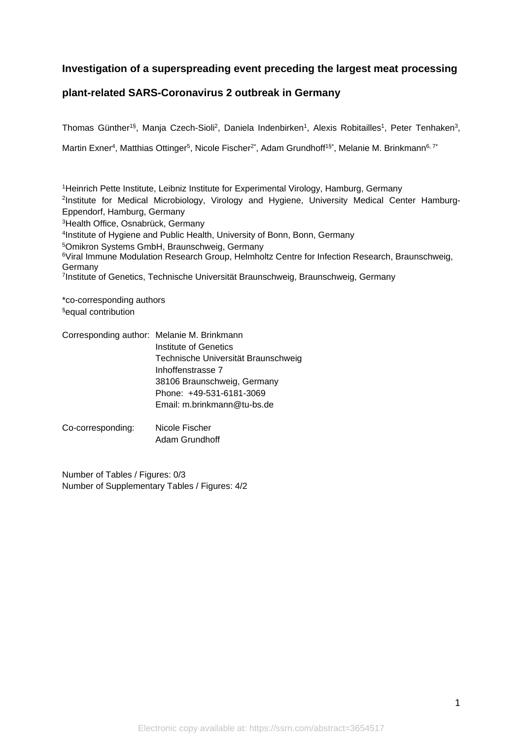# **Investigation of a superspreading event preceding the largest meat processing**

# **plant-related SARS-Coronavirus 2 outbreak in Germany**

Thomas Günther<sup>1§</sup>, Manja Czech-Sioli<sup>2</sup>, Daniela Indenbirken<sup>1</sup>, Alexis Robitailles<sup>1</sup>, Peter Tenhaken<sup>3</sup>, Martin Exner<sup>4</sup>, Matthias Ottinger<sup>5</sup>, Nicole Fischer<sup>2\*</sup>, Adam Grundhoff<sup>1§\*</sup>, Melanie M. Brinkmann<sup>6, 7\*</sup>

1Heinrich Pette Institute, Leibniz Institute for Experimental Virology, Hamburg, Germany <sup>2</sup>Institute for Medical Microbiology, Virology and Hygiene, University Medical Center Hamburg-Eppendorf, Hamburg, Germany 3Health Office, Osnabrück, Germany 4Institute of Hygiene and Public Health, University of Bonn, Bonn, Germany 5Omikron Systems GmbH, Braunschweig, Germany <sup>6</sup>Viral Immune Modulation Research Group, Helmholtz Centre for Infection Research, Braunschweig, Germany 7Institute of Genetics, Technische Universität Braunschweig, Braunschweig, Germany \*co-corresponding authors

## §equal contribution

| Corresponding author: Melanie M. Brinkmann |
|--------------------------------------------|
| Institute of Genetics                      |
| Technische Universität Braunschweig        |
| Inhoffenstrasse 7                          |
| 38106 Braunschweig, Germany                |
| Phone: +49-531-6181-3069                   |
| Email: m.brinkmann@tu-bs.de                |
|                                            |
|                                            |

Co-corresponding: Nicole Fischer Adam Grundhoff

Number of Tables / Figures: 0/3 Number of Supplementary Tables / Figures: 4/2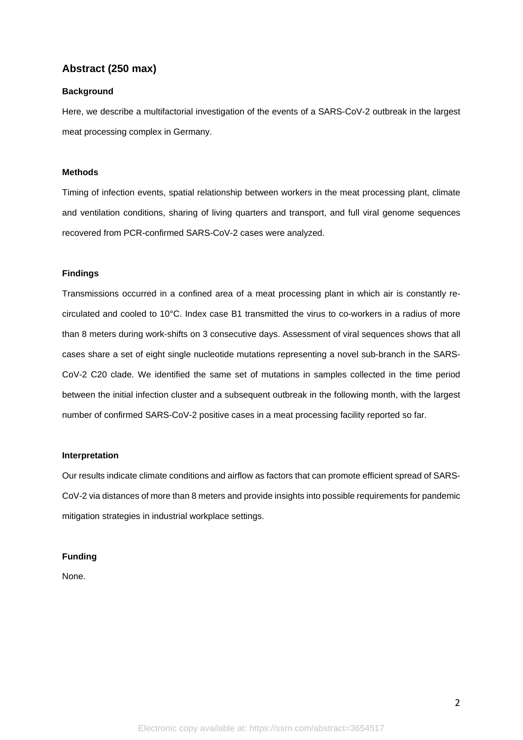# **Abstract (250 max)**

## **Background**

Here, we describe a multifactorial investigation of the events of a SARS-CoV-2 outbreak in the largest meat processing complex in Germany.

## **Methods**

Timing of infection events, spatial relationship between workers in the meat processing plant, climate and ventilation conditions, sharing of living quarters and transport, and full viral genome sequences recovered from PCR-confirmed SARS-CoV-2 cases were analyzed.

## **Findings**

Transmissions occurred in a confined area of a meat processing plant in which air is constantly recirculated and cooled to 10°C. Index case B1 transmitted the virus to co-workers in a radius of more than 8 meters during work-shifts on 3 consecutive days. Assessment of viral sequences shows that all cases share a set of eight single nucleotide mutations representing a novel sub-branch in the SARS-CoV-2 C20 clade. We identified the same set of mutations in samples collected in the time period between the initial infection cluster and a subsequent outbreak in the following month, with the largest number of confirmed SARS-CoV-2 positive cases in a meat processing facility reported so far.

### **Interpretation**

Our results indicate climate conditions and airflow as factors that can promote efficient spread of SARS-CoV-2 via distances of more than 8 meters and provide insights into possible requirements for pandemic mitigation strategies in industrial workplace settings.

## **Funding**

None.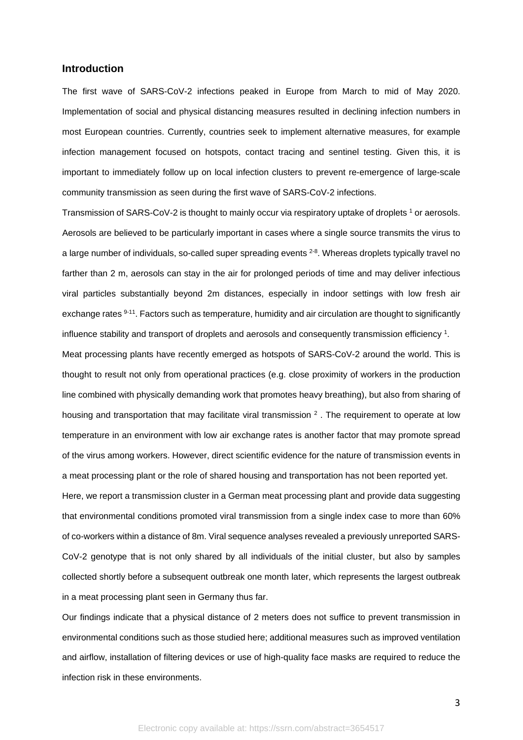## **Introduction**

The first wave of SARS-CoV-2 infections peaked in Europe from March to mid of May 2020. Implementation of social and physical distancing measures resulted in declining infection numbers in most European countries. Currently, countries seek to implement alternative measures, for example infection management focused on hotspots, contact tracing and sentinel testing. Given this, it is important to immediately follow up on local infection clusters to prevent re-emergence of large-scale community transmission as seen during the first wave of SARS-CoV-2 infections.

Transmission of SARS-CoV-2 is thought to mainly occur via respiratory uptake of droplets <sup>1</sup> or aerosols. Aerosols are believed to be particularly important in cases where a single source transmits the virus to a large number of individuals, so-called super spreading events <sup>2-8</sup>. Whereas droplets typically travel no farther than 2 m, aerosols can stay in the air for prolonged periods of time and may deliver infectious viral particles substantially beyond 2m distances, especially in indoor settings with low fresh air exchange rates <sup>9-11</sup>. Factors such as temperature, humidity and air circulation are thought to significantly influence stability and transport of droplets and aerosols and consequently transmission efficiency 1.

Meat processing plants have recently emerged as hotspots of SARS-CoV-2 around the world. This is thought to result not only from operational practices (e.g. close proximity of workers in the production line combined with physically demanding work that promotes heavy breathing), but also from sharing of housing and transportation that may facilitate viral transmission  $<sup>2</sup>$ . The requirement to operate at low</sup> temperature in an environment with low air exchange rates is another factor that may promote spread of the virus among workers. However, direct scientific evidence for the nature of transmission events in a meat processing plant or the role of shared housing and transportation has not been reported yet.

Here, we report a transmission cluster in a German meat processing plant and provide data suggesting that environmental conditions promoted viral transmission from a single index case to more than 60% of co-workers within a distance of 8m. Viral sequence analyses revealed a previously unreported SARS-CoV-2 genotype that is not only shared by all individuals of the initial cluster, but also by samples collected shortly before a subsequent outbreak one month later, which represents the largest outbreak in a meat processing plant seen in Germany thus far.

Our findings indicate that a physical distance of 2 meters does not suffice to prevent transmission in environmental conditions such as those studied here; additional measures such as improved ventilation and airflow, installation of filtering devices or use of high-quality face masks are required to reduce the infection risk in these environments.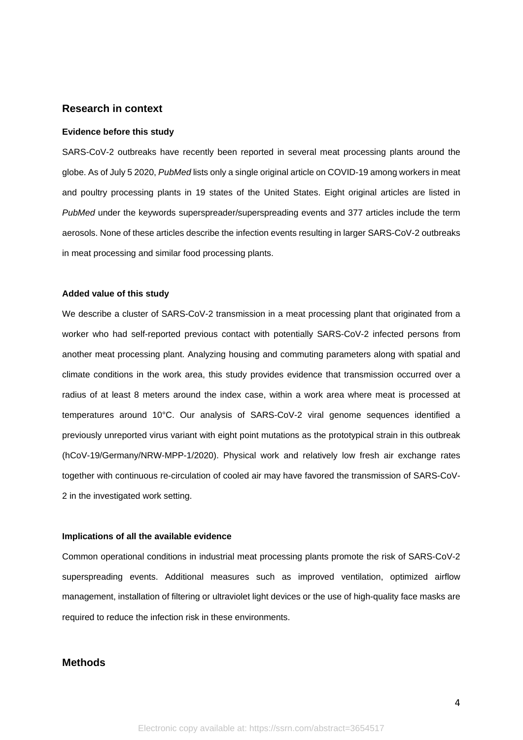### **Research in context**

### **Evidence before this study**

SARS-CoV-2 outbreaks have recently been reported in several meat processing plants around the globe. As of July 5 2020, *PubMed* lists only a single original article on COVID-19 among workers in meat and poultry processing plants in 19 states of the United States. Eight original articles are listed in *PubMed* under the keywords superspreader/superspreading events and 377 articles include the term aerosols. None of these articles describe the infection events resulting in larger SARS-CoV-2 outbreaks in meat processing and similar food processing plants.

## **Added value of this study**

We describe a cluster of SARS-CoV-2 transmission in a meat processing plant that originated from a worker who had self-reported previous contact with potentially SARS-CoV-2 infected persons from another meat processing plant. Analyzing housing and commuting parameters along with spatial and climate conditions in the work area, this study provides evidence that transmission occurred over a radius of at least 8 meters around the index case, within a work area where meat is processed at temperatures around 10°C. Our analysis of SARS-CoV-2 viral genome sequences identified a previously unreported virus variant with eight point mutations as the prototypical strain in this outbreak (hCoV-19/Germany/NRW-MPP-1/2020). Physical work and relatively low fresh air exchange rates together with continuous re-circulation of cooled air may have favored the transmission of SARS-CoV-2 in the investigated work setting.

### **Implications of all the available evidence**

Common operational conditions in industrial meat processing plants promote the risk of SARS-CoV-2 superspreading events. Additional measures such as improved ventilation, optimized airflow management, installation of filtering or ultraviolet light devices or the use of high-quality face masks are required to reduce the infection risk in these environments.

## **Methods**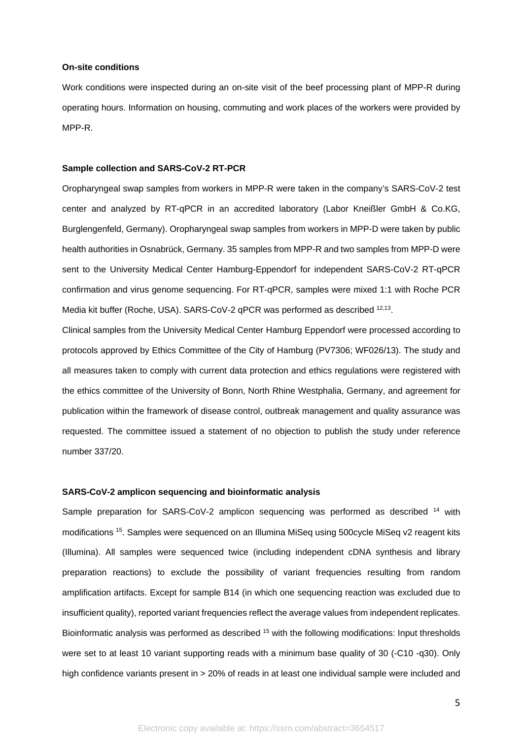### **On-site conditions**

Work conditions were inspected during an on-site visit of the beef processing plant of MPP-R during operating hours. Information on housing, commuting and work places of the workers were provided by MPP-R.

### **Sample collection and SARS-CoV-2 RT-PCR**

Oropharyngeal swap samples from workers in MPP-R were taken in the company's SARS-CoV-2 test center and analyzed by RT-qPCR in an accredited laboratory (Labor Kneißler GmbH & Co.KG, Burglengenfeld, Germany). Oropharyngeal swap samples from workers in MPP-D were taken by public health authorities in Osnabrück, Germany. 35 samples from MPP-R and two samples from MPP-D were sent to the University Medical Center Hamburg-Eppendorf for independent SARS-CoV-2 RT-qPCR confirmation and virus genome sequencing. For RT-qPCR, samples were mixed 1:1 with Roche PCR Media kit buffer (Roche, USA). SARS-CoV-2 qPCR was performed as described <sup>12,13</sup>.

Clinical samples from the University Medical Center Hamburg Eppendorf were processed according to protocols approved by Ethics Committee of the City of Hamburg (PV7306; WF026/13). The study and all measures taken to comply with current data protection and ethics regulations were registered with the ethics committee of the University of Bonn, North Rhine Westphalia, Germany, and agreement for publication within the framework of disease control, outbreak management and quality assurance was requested. The committee issued a statement of no objection to publish the study under reference number 337/20.

### **SARS-CoV-2 amplicon sequencing and bioinformatic analysis**

Sample preparation for SARS-CoV-2 amplicon sequencing was performed as described <sup>14</sup> with modifications 15. Samples were sequenced on an Illumina MiSeq using 500cycle MiSeq v2 reagent kits (Illumina). All samples were sequenced twice (including independent cDNA synthesis and library preparation reactions) to exclude the possibility of variant frequencies resulting from random amplification artifacts. Except for sample B14 (in which one sequencing reaction was excluded due to insufficient quality), reported variant frequencies reflect the average values from independent replicates. Bioinformatic analysis was performed as described 15 with the following modifications: Input thresholds were set to at least 10 variant supporting reads with a minimum base quality of 30 (-C10 -q30). Only high confidence variants present in > 20% of reads in at least one individual sample were included and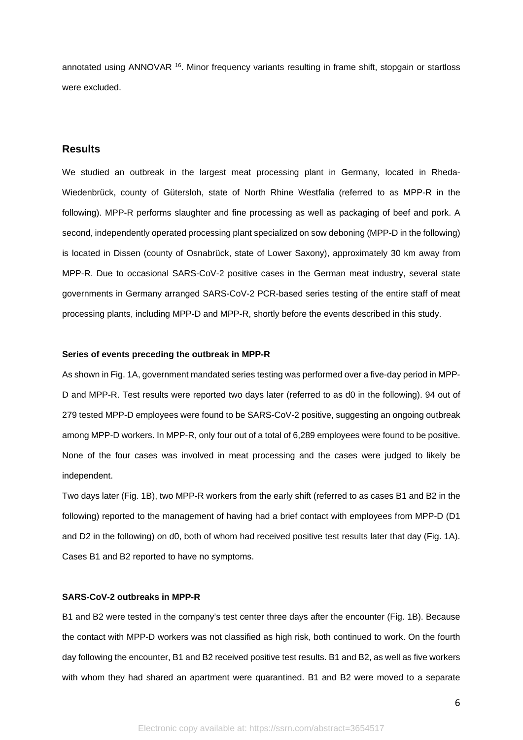annotated using ANNOVAR <sup>16</sup>. Minor frequency variants resulting in frame shift, stopgain or startloss were excluded.

## **Results**

We studied an outbreak in the largest meat processing plant in Germany, located in Rheda-Wiedenbrück, county of Gütersloh, state of North Rhine Westfalia (referred to as MPP-R in the following). MPP-R performs slaughter and fine processing as well as packaging of beef and pork. A second, independently operated processing plant specialized on sow deboning (MPP-D in the following) is located in Dissen (county of Osnabrück, state of Lower Saxony), approximately 30 km away from MPP-R. Due to occasional SARS-CoV-2 positive cases in the German meat industry, several state governments in Germany arranged SARS-CoV-2 PCR-based series testing of the entire staff of meat processing plants, including MPP-D and MPP-R, shortly before the events described in this study.

### **Series of events preceding the outbreak in MPP-R**

As shown in Fig. 1A, government mandated series testing was performed over a five-day period in MPP-D and MPP-R. Test results were reported two days later (referred to as d0 in the following). 94 out of 279 tested MPP-D employees were found to be SARS-CoV-2 positive, suggesting an ongoing outbreak among MPP-D workers. In MPP-R, only four out of a total of 6,289 employees were found to be positive. None of the four cases was involved in meat processing and the cases were judged to likely be independent.

Two days later (Fig. 1B), two MPP-R workers from the early shift (referred to as cases B1 and B2 in the following) reported to the management of having had a brief contact with employees from MPP-D (D1 and D2 in the following) on d0, both of whom had received positive test results later that day (Fig. 1A). Cases B1 and B2 reported to have no symptoms.

### **SARS-CoV-2 outbreaks in MPP-R**

B1 and B2 were tested in the company's test center three days after the encounter (Fig. 1B). Because the contact with MPP-D workers was not classified as high risk, both continued to work. On the fourth day following the encounter, B1 and B2 received positive test results. B1 and B2, as well as five workers with whom they had shared an apartment were quarantined. B1 and B2 were moved to a separate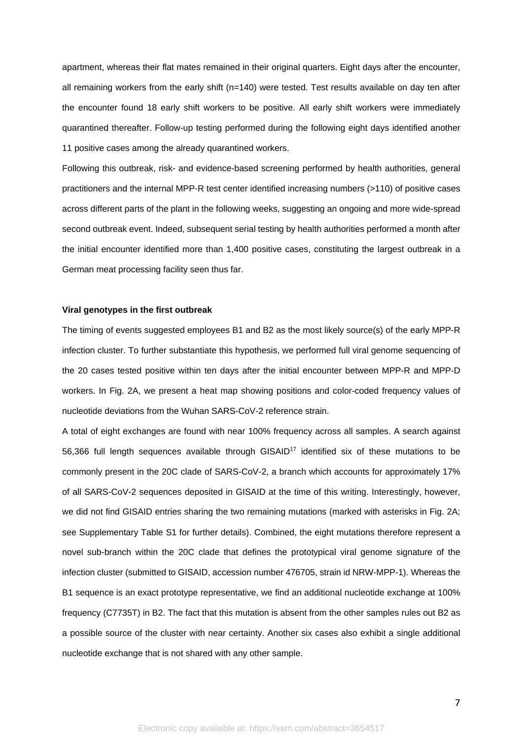apartment, whereas their flat mates remained in their original quarters. Eight days after the encounter, all remaining workers from the early shift (n=140) were tested. Test results available on day ten after the encounter found 18 early shift workers to be positive. All early shift workers were immediately quarantined thereafter. Follow-up testing performed during the following eight days identified another 11 positive cases among the already quarantined workers.

Following this outbreak, risk- and evidence-based screening performed by health authorities, general practitioners and the internal MPP-R test center identified increasing numbers (>110) of positive cases across different parts of the plant in the following weeks, suggesting an ongoing and more wide-spread second outbreak event. Indeed, subsequent serial testing by health authorities performed a month after the initial encounter identified more than 1,400 positive cases, constituting the largest outbreak in a German meat processing facility seen thus far.

#### **Viral genotypes in the first outbreak**

The timing of events suggested employees B1 and B2 as the most likely source(s) of the early MPP-R infection cluster. To further substantiate this hypothesis, we performed full viral genome sequencing of the 20 cases tested positive within ten days after the initial encounter between MPP-R and MPP-D workers. In Fig. 2A, we present a heat map showing positions and color-coded frequency values of nucleotide deviations from the Wuhan SARS-CoV-2 reference strain.

A total of eight exchanges are found with near 100% frequency across all samples. A search against 56,366 full length sequences available through GISAID<sup>17</sup> identified six of these mutations to be commonly present in the 20C clade of SARS-CoV-2, a branch which accounts for approximately 17% of all SARS-CoV-2 sequences deposited in GISAID at the time of this writing. Interestingly, however, we did not find GISAID entries sharing the two remaining mutations (marked with asterisks in Fig. 2A; see Supplementary Table S1 for further details). Combined, the eight mutations therefore represent a novel sub-branch within the 20C clade that defines the prototypical viral genome signature of the infection cluster (submitted to GISAID, accession number 476705, strain id NRW-MPP-1). Whereas the B1 sequence is an exact prototype representative, we find an additional nucleotide exchange at 100% frequency (C7735T) in B2. The fact that this mutation is absent from the other samples rules out B2 as a possible source of the cluster with near certainty. Another six cases also exhibit a single additional nucleotide exchange that is not shared with any other sample.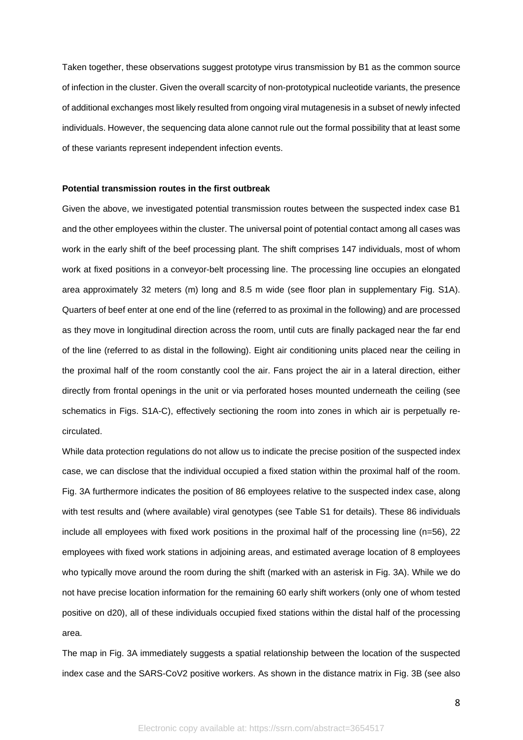Taken together, these observations suggest prototype virus transmission by B1 as the common source of infection in the cluster. Given the overall scarcity of non-prototypical nucleotide variants, the presence of additional exchanges most likely resulted from ongoing viral mutagenesis in a subset of newly infected individuals. However, the sequencing data alone cannot rule out the formal possibility that at least some of these variants represent independent infection events.

## **Potential transmission routes in the first outbreak**

Given the above, we investigated potential transmission routes between the suspected index case B1 and the other employees within the cluster. The universal point of potential contact among all cases was work in the early shift of the beef processing plant. The shift comprises 147 individuals, most of whom work at fixed positions in a conveyor-belt processing line. The processing line occupies an elongated area approximately 32 meters (m) long and 8.5 m wide (see floor plan in supplementary Fig. S1A). Quarters of beef enter at one end of the line (referred to as proximal in the following) and are processed as they move in longitudinal direction across the room, until cuts are finally packaged near the far end of the line (referred to as distal in the following). Eight air conditioning units placed near the ceiling in the proximal half of the room constantly cool the air. Fans project the air in a lateral direction, either directly from frontal openings in the unit or via perforated hoses mounted underneath the ceiling (see schematics in Figs. S1A-C), effectively sectioning the room into zones in which air is perpetually recirculated.

While data protection regulations do not allow us to indicate the precise position of the suspected index case, we can disclose that the individual occupied a fixed station within the proximal half of the room. Fig. 3A furthermore indicates the position of 86 employees relative to the suspected index case, along with test results and (where available) viral genotypes (see Table S1 for details). These 86 individuals include all employees with fixed work positions in the proximal half of the processing line (n=56), 22 employees with fixed work stations in adjoining areas, and estimated average location of 8 employees who typically move around the room during the shift (marked with an asterisk in Fig. 3A). While we do not have precise location information for the remaining 60 early shift workers (only one of whom tested positive on d20), all of these individuals occupied fixed stations within the distal half of the processing area.

The map in Fig. 3A immediately suggests a spatial relationship between the location of the suspected index case and the SARS-CoV2 positive workers. As shown in the distance matrix in Fig. 3B (see also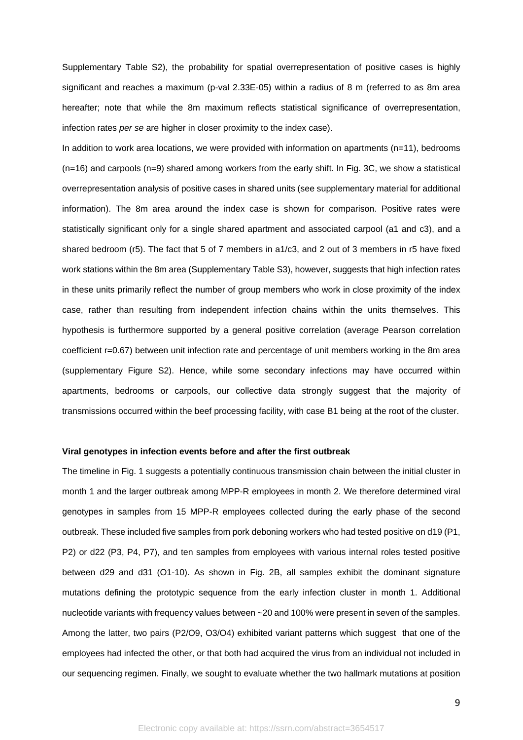Supplementary Table S2), the probability for spatial overrepresentation of positive cases is highly significant and reaches a maximum (p-val 2.33E-05) within a radius of 8 m (referred to as 8m area hereafter; note that while the 8m maximum reflects statistical significance of overrepresentation, infection rates *per se* are higher in closer proximity to the index case).

In addition to work area locations, we were provided with information on apartments (n=11), bedrooms (n=16) and carpools (n=9) shared among workers from the early shift. In Fig. 3C, we show a statistical overrepresentation analysis of positive cases in shared units (see supplementary material for additional information). The 8m area around the index case is shown for comparison. Positive rates were statistically significant only for a single shared apartment and associated carpool (a1 and c3), and a shared bedroom (r5). The fact that 5 of 7 members in a1/c3, and 2 out of 3 members in r5 have fixed work stations within the 8m area (Supplementary Table S3), however, suggests that high infection rates in these units primarily reflect the number of group members who work in close proximity of the index case, rather than resulting from independent infection chains within the units themselves. This hypothesis is furthermore supported by a general positive correlation (average Pearson correlation coefficient r=0.67) between unit infection rate and percentage of unit members working in the 8m area (supplementary Figure S2). Hence, while some secondary infections may have occurred within apartments, bedrooms or carpools, our collective data strongly suggest that the majority of transmissions occurred within the beef processing facility, with case B1 being at the root of the cluster.

#### **Viral genotypes in infection events before and after the first outbreak**

The timeline in Fig. 1 suggests a potentially continuous transmission chain between the initial cluster in month 1 and the larger outbreak among MPP-R employees in month 2. We therefore determined viral genotypes in samples from 15 MPP-R employees collected during the early phase of the second outbreak. These included five samples from pork deboning workers who had tested positive on d19 (P1, P2) or d22 (P3, P4, P7), and ten samples from employees with various internal roles tested positive between d29 and d31 (O1-10). As shown in Fig. 2B, all samples exhibit the dominant signature mutations defining the prototypic sequence from the early infection cluster in month 1. Additional nucleotide variants with frequency values between ~20 and 100% were present in seven of the samples. Among the latter, two pairs (P2/O9, O3/O4) exhibited variant patterns which suggest that one of the employees had infected the other, or that both had acquired the virus from an individual not included in our sequencing regimen. Finally, we sought to evaluate whether the two hallmark mutations at position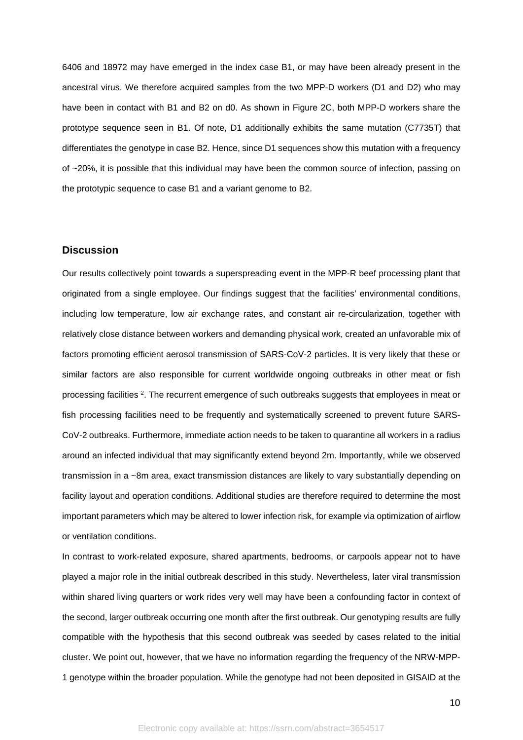6406 and 18972 may have emerged in the index case B1, or may have been already present in the ancestral virus. We therefore acquired samples from the two MPP-D workers (D1 and D2) who may have been in contact with B1 and B2 on d0. As shown in Figure 2C, both MPP-D workers share the prototype sequence seen in B1. Of note, D1 additionally exhibits the same mutation (C7735T) that differentiates the genotype in case B2. Hence, since D1 sequences show this mutation with a frequency of ~20%, it is possible that this individual may have been the common source of infection, passing on the prototypic sequence to case B1 and a variant genome to B2.

## **Discussion**

Our results collectively point towards a superspreading event in the MPP-R beef processing plant that originated from a single employee. Our findings suggest that the facilities' environmental conditions, including low temperature, low air exchange rates, and constant air re-circularization, together with relatively close distance between workers and demanding physical work, created an unfavorable mix of factors promoting efficient aerosol transmission of SARS-CoV-2 particles. It is very likely that these or similar factors are also responsible for current worldwide ongoing outbreaks in other meat or fish processing facilities 2. The recurrent emergence of such outbreaks suggests that employees in meat or fish processing facilities need to be frequently and systematically screened to prevent future SARS-CoV-2 outbreaks. Furthermore, immediate action needs to be taken to quarantine all workers in a radius around an infected individual that may significantly extend beyond 2m. Importantly, while we observed transmission in a ~8m area, exact transmission distances are likely to vary substantially depending on facility layout and operation conditions. Additional studies are therefore required to determine the most important parameters which may be altered to lower infection risk, for example via optimization of airflow or ventilation conditions.

In contrast to work-related exposure, shared apartments, bedrooms, or carpools appear not to have played a major role in the initial outbreak described in this study. Nevertheless, later viral transmission within shared living quarters or work rides very well may have been a confounding factor in context of the second, larger outbreak occurring one month after the first outbreak. Our genotyping results are fully compatible with the hypothesis that this second outbreak was seeded by cases related to the initial cluster. We point out, however, that we have no information regarding the frequency of the NRW-MPP-1 genotype within the broader population. While the genotype had not been deposited in GISAID at the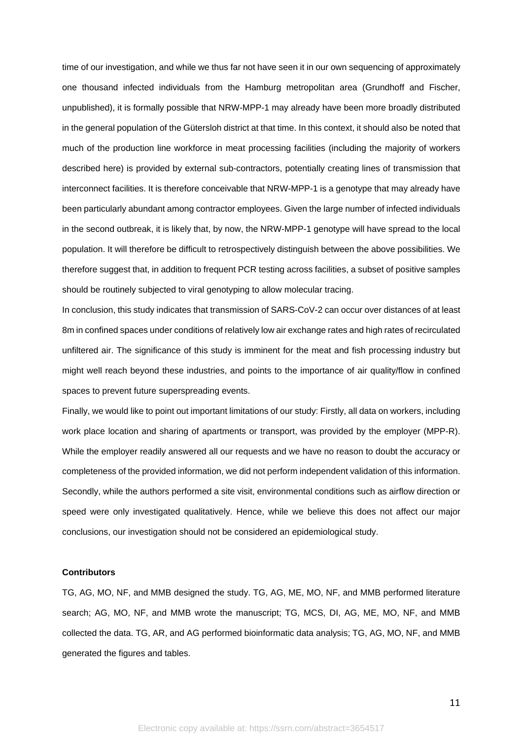time of our investigation, and while we thus far not have seen it in our own sequencing of approximately one thousand infected individuals from the Hamburg metropolitan area (Grundhoff and Fischer, unpublished), it is formally possible that NRW-MPP-1 may already have been more broadly distributed in the general population of the Gütersloh district at that time. In this context, it should also be noted that much of the production line workforce in meat processing facilities (including the majority of workers described here) is provided by external sub-contractors, potentially creating lines of transmission that interconnect facilities. It is therefore conceivable that NRW-MPP-1 is a genotype that may already have been particularly abundant among contractor employees. Given the large number of infected individuals in the second outbreak, it is likely that, by now, the NRW-MPP-1 genotype will have spread to the local population. It will therefore be difficult to retrospectively distinguish between the above possibilities. We therefore suggest that, in addition to frequent PCR testing across facilities, a subset of positive samples should be routinely subjected to viral genotyping to allow molecular tracing.

In conclusion, this study indicates that transmission of SARS-CoV-2 can occur over distances of at least 8m in confined spaces under conditions of relatively low air exchange rates and high rates of recirculated unfiltered air. The significance of this study is imminent for the meat and fish processing industry but might well reach beyond these industries, and points to the importance of air quality/flow in confined spaces to prevent future superspreading events.

Finally, we would like to point out important limitations of our study: Firstly, all data on workers, including work place location and sharing of apartments or transport, was provided by the employer (MPP-R). While the employer readily answered all our requests and we have no reason to doubt the accuracy or completeness of the provided information, we did not perform independent validation of this information. Secondly, while the authors performed a site visit, environmental conditions such as airflow direction or speed were only investigated qualitatively. Hence, while we believe this does not affect our major conclusions, our investigation should not be considered an epidemiological study.

## **Contributors**

TG, AG, MO, NF, and MMB designed the study. TG, AG, ME, MO, NF, and MMB performed literature search; AG, MO, NF, and MMB wrote the manuscript; TG, MCS, DI, AG, ME, MO, NF, and MMB collected the data. TG, AR, and AG performed bioinformatic data analysis; TG, AG, MO, NF, and MMB generated the figures and tables.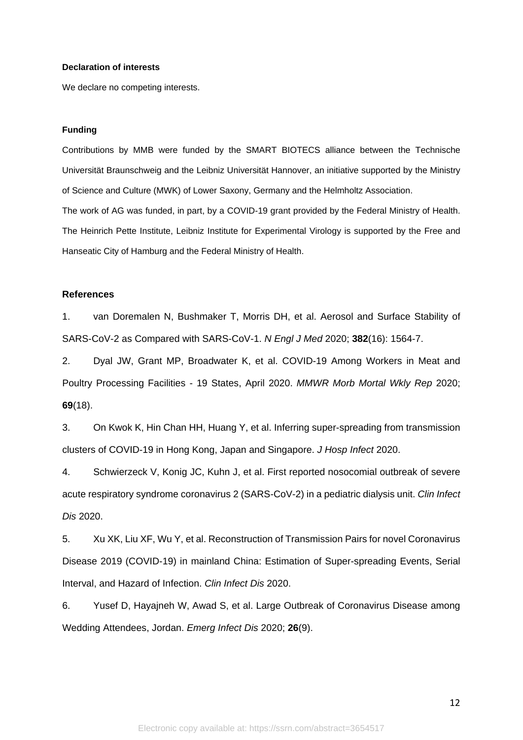## **Declaration of interests**

We declare no competing interests.

## **Funding**

Contributions by MMB were funded by the SMART BIOTECS alliance between the Technische Universität Braunschweig and the Leibniz Universität Hannover, an initiative supported by the Ministry of Science and Culture (MWK) of Lower Saxony, Germany and the Helmholtz Association.

The work of AG was funded, in part, by a COVID-19 grant provided by the Federal Ministry of Health. The Heinrich Pette Institute, Leibniz Institute for Experimental Virology is supported by the Free and Hanseatic City of Hamburg and the Federal Ministry of Health.

## **References**

1. van Doremalen N, Bushmaker T, Morris DH, et al. Aerosol and Surface Stability of SARS-CoV-2 as Compared with SARS-CoV-1. *N Engl J Med* 2020; **382**(16): 1564-7.

2. Dyal JW, Grant MP, Broadwater K, et al. COVID-19 Among Workers in Meat and Poultry Processing Facilities - 19 States, April 2020. *MMWR Morb Mortal Wkly Rep* 2020; **69**(18).

3. On Kwok K, Hin Chan HH, Huang Y, et al. Inferring super-spreading from transmission clusters of COVID-19 in Hong Kong, Japan and Singapore. *J Hosp Infect* 2020.

4. Schwierzeck V, Konig JC, Kuhn J, et al. First reported nosocomial outbreak of severe acute respiratory syndrome coronavirus 2 (SARS-CoV-2) in a pediatric dialysis unit. *Clin Infect Dis* 2020.

5. Xu XK, Liu XF, Wu Y, et al. Reconstruction of Transmission Pairs for novel Coronavirus Disease 2019 (COVID-19) in mainland China: Estimation of Super-spreading Events, Serial Interval, and Hazard of Infection. *Clin Infect Dis* 2020.

6. Yusef D, Hayajneh W, Awad S, et al. Large Outbreak of Coronavirus Disease among Wedding Attendees, Jordan. *Emerg Infect Dis* 2020; **26**(9).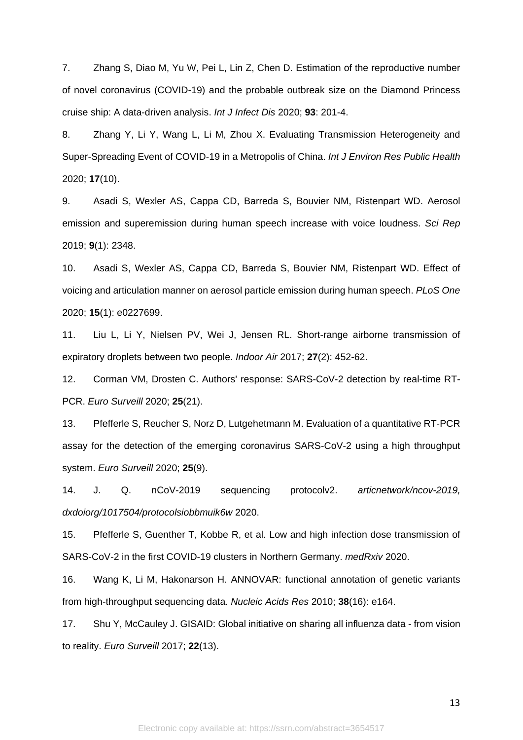7. Zhang S, Diao M, Yu W, Pei L, Lin Z, Chen D. Estimation of the reproductive number of novel coronavirus (COVID-19) and the probable outbreak size on the Diamond Princess cruise ship: A data-driven analysis. *Int J Infect Dis* 2020; **93**: 201-4.

8. Zhang Y, Li Y, Wang L, Li M, Zhou X. Evaluating Transmission Heterogeneity and Super-Spreading Event of COVID-19 in a Metropolis of China. *Int J Environ Res Public Health* 2020; **17**(10).

9. Asadi S, Wexler AS, Cappa CD, Barreda S, Bouvier NM, Ristenpart WD. Aerosol emission and superemission during human speech increase with voice loudness. *Sci Rep* 2019; **9**(1): 2348.

10. Asadi S, Wexler AS, Cappa CD, Barreda S, Bouvier NM, Ristenpart WD. Effect of voicing and articulation manner on aerosol particle emission during human speech. *PLoS One* 2020; **15**(1): e0227699.

11. Liu L, Li Y, Nielsen PV, Wei J, Jensen RL. Short-range airborne transmission of expiratory droplets between two people. *Indoor Air* 2017; **27**(2): 452-62.

12. Corman VM, Drosten C. Authors' response: SARS-CoV-2 detection by real-time RT-PCR. *Euro Surveill* 2020; **25**(21).

13. Pfefferle S, Reucher S, Norz D, Lutgehetmann M. Evaluation of a quantitative RT-PCR assay for the detection of the emerging coronavirus SARS-CoV-2 using a high throughput system. *Euro Surveill* 2020; **25**(9).

14. J. Q. nCoV-2019 sequencing protocolv2. *articnetwork/ncov-2019, dxdoiorg/1017504/protocolsiobbmuik6w* 2020.

15. Pfefferle S, Guenther T, Kobbe R, et al. Low and high infection dose transmission of SARS-CoV-2 in the first COVID-19 clusters in Northern Germany. *medRxiv* 2020.

16. Wang K, Li M, Hakonarson H. ANNOVAR: functional annotation of genetic variants from high-throughput sequencing data. *Nucleic Acids Res* 2010; **38**(16): e164.

17. Shu Y, McCauley J. GISAID: Global initiative on sharing all influenza data - from vision to reality. *Euro Surveill* 2017; **22**(13).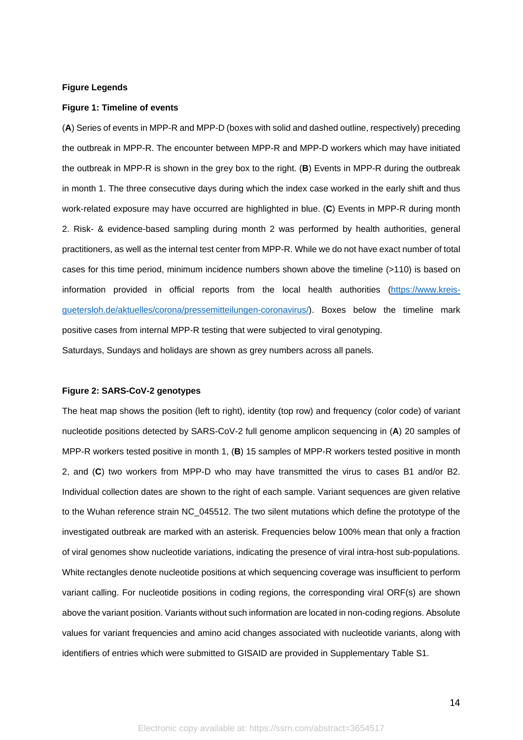#### **Figure Legends**

#### **Figure 1: Timeline of events**

(**A**) Series of events in MPP-R and MPP-D (boxes with solid and dashed outline, respectively) preceding the outbreak in MPP-R. The encounter between MPP-R and MPP-D workers which may have initiated the outbreak in MPP-R is shown in the grey box to the right. (**B**) Events in MPP-R during the outbreak in month 1. The three consecutive days during which the index case worked in the early shift and thus work-related exposure may have occurred are highlighted in blue. (**C**) Events in MPP-R during month 2. Risk- & evidence-based sampling during month 2 was performed by health authorities, general practitioners, as well as the internal test center from MPP-R. While we do not have exact number of total cases for this time period, minimum incidence numbers shown above the timeline (>110) is based on information provided in official reports from the local health authorities [\(https://www.kreis](https://www.kreis-guetersloh.de/aktuelles/corona/pressemitteilungen-coronavirus/)[guetersloh.de/aktuelles/corona/pressemitteilungen-coronavirus/\)](https://www.kreis-guetersloh.de/aktuelles/corona/pressemitteilungen-coronavirus/). Boxes below the timeline mark positive cases from internal MPP-R testing that were subjected to viral genotyping.

Saturdays, Sundays and holidays are shown as grey numbers across all panels.

## **Figure 2: SARS-CoV-2 genotypes**

The heat map shows the position (left to right), identity (top row) and frequency (color code) of variant nucleotide positions detected by SARS-CoV-2 full genome amplicon sequencing in (**A**) 20 samples of MPP-R workers tested positive in month 1, (**B**) 15 samples of MPP-R workers tested positive in month 2, and (**C**) two workers from MPP-D who may have transmitted the virus to cases B1 and/or B2. Individual collection dates are shown to the right of each sample. Variant sequences are given relative to the Wuhan reference strain NC\_045512. The two silent mutations which define the prototype of the investigated outbreak are marked with an asterisk. Frequencies below 100% mean that only a fraction of viral genomes show nucleotide variations, indicating the presence of viral intra-host sub-populations. White rectangles denote nucleotide positions at which sequencing coverage was insufficient to perform variant calling. For nucleotide positions in coding regions, the corresponding viral ORF(s) are shown above the variant position. Variants without such information are located in non-coding regions. Absolute values for variant frequencies and amino acid changes associated with nucleotide variants, along with identifiers of entries which were submitted to GISAID are provided in Supplementary Table S1.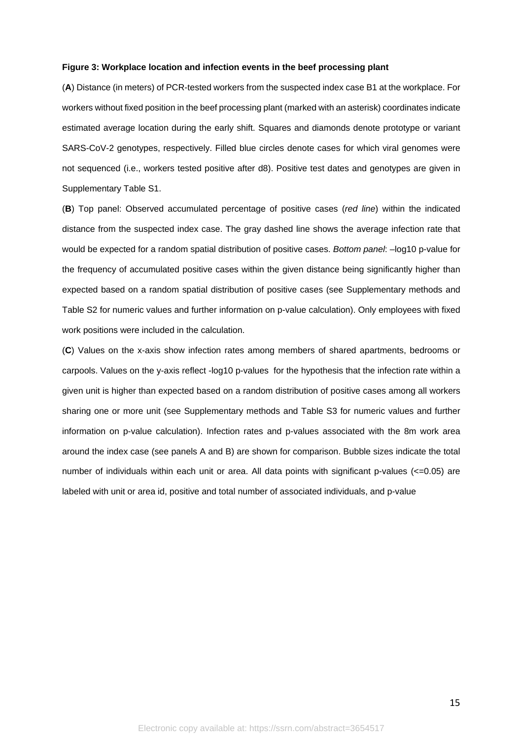#### **Figure 3: Workplace location and infection events in the beef processing plant**

(**A**) Distance (in meters) of PCR-tested workers from the suspected index case B1 at the workplace. For workers without fixed position in the beef processing plant (marked with an asterisk) coordinates indicate estimated average location during the early shift. Squares and diamonds denote prototype or variant SARS-CoV-2 genotypes, respectively. Filled blue circles denote cases for which viral genomes were not sequenced (i.e., workers tested positive after d8). Positive test dates and genotypes are given in Supplementary Table S1.

(**B**) Top panel: Observed accumulated percentage of positive cases (*red line*) within the indicated distance from the suspected index case. The gray dashed line shows the average infection rate that would be expected for a random spatial distribution of positive cases. *Bottom panel*: –log10 p-value for the frequency of accumulated positive cases within the given distance being significantly higher than expected based on a random spatial distribution of positive cases (see Supplementary methods and Table S2 for numeric values and further information on p-value calculation). Only employees with fixed work positions were included in the calculation.

(**C**) Values on the x-axis show infection rates among members of shared apartments, bedrooms or carpools. Values on the y-axis reflect -log10 p-values for the hypothesis that the infection rate within a given unit is higher than expected based on a random distribution of positive cases among all workers sharing one or more unit (see Supplementary methods and Table S3 for numeric values and further information on p-value calculation). Infection rates and p-values associated with the 8m work area around the index case (see panels A and B) are shown for comparison. Bubble sizes indicate the total number of individuals within each unit or area. All data points with significant p-values (<=0.05) are labeled with unit or area id, positive and total number of associated individuals, and p-value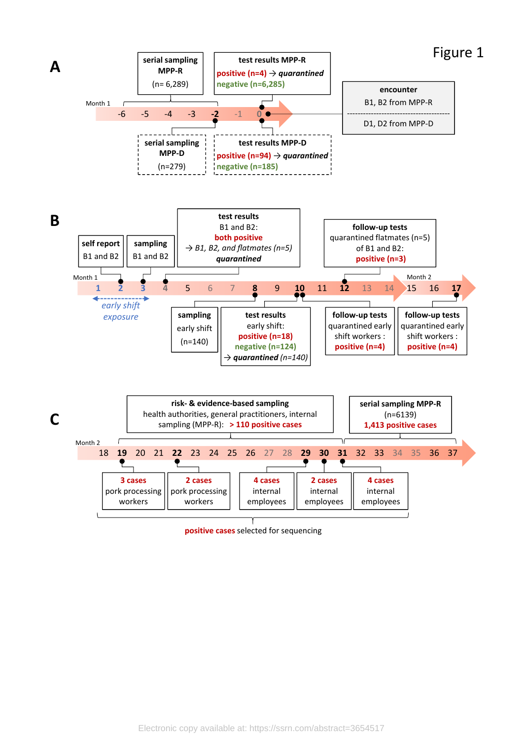

**positive cases** selected for sequencing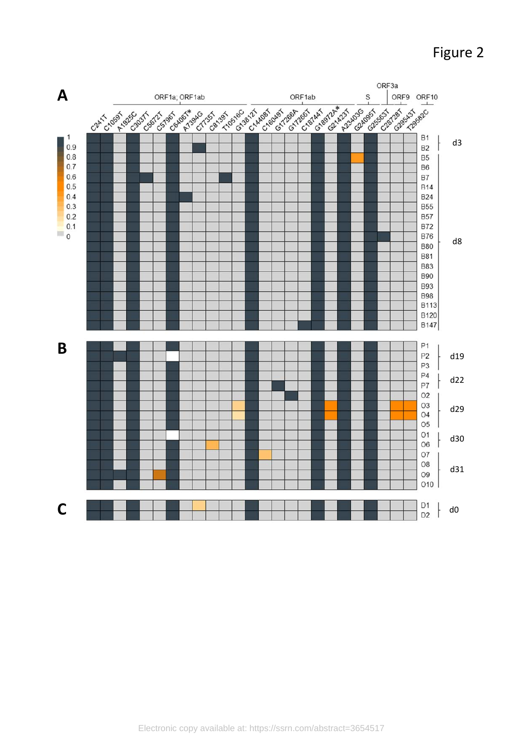Figure 2

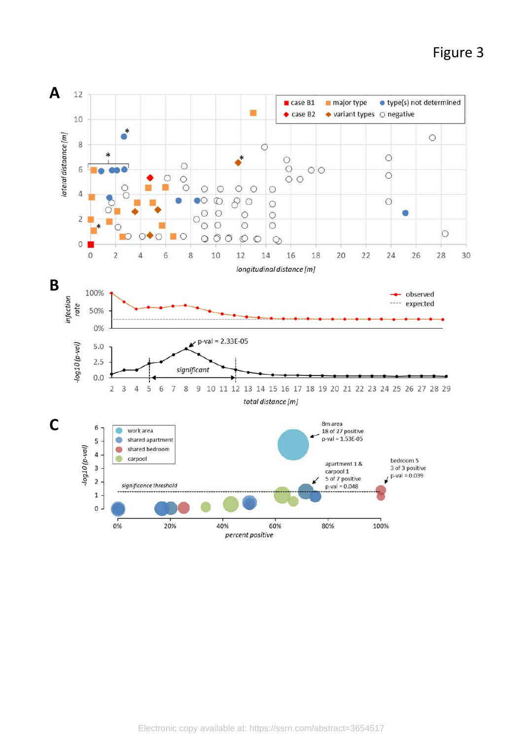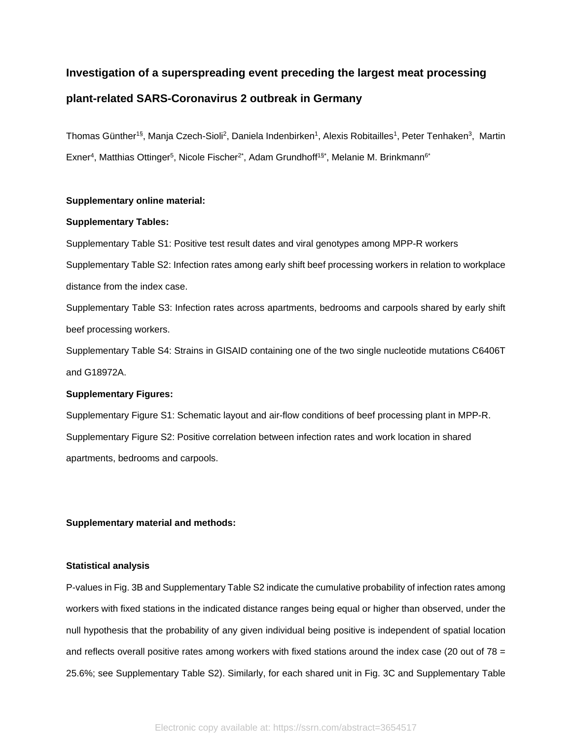# **Investigation of a superspreading event preceding the largest meat processing**

## **plant-related SARS-Coronavirus 2 outbreak in Germany**

Thomas Günther<sup>1§</sup>, Manja Czech-Sioli<sup>2</sup>, Daniela Indenbirken<sup>1</sup>, Alexis Robitailles<sup>1</sup>, Peter Tenhaken<sup>3</sup>, Martin Exner<sup>4</sup>, Matthias Ottinger<sup>5</sup>, Nicole Fischer<sup>2+</sup>, Adam Grundhoff<sup>1§+</sup>, Melanie M. Brinkmann<sup>6+</sup>

### **Supplementary online material:**

### **Supplementary Tables:**

Supplementary Table S1: Positive test result dates and viral genotypes among MPP-R workers Supplementary Table S2: Infection rates among early shift beef processing workers in relation to workplace distance from the index case.

Supplementary Table S3: Infection rates across apartments, bedrooms and carpools shared by early shift beef processing workers.

Supplementary Table S4: Strains in GISAID containing one of the two single nucleotide mutations C6406T and G18972A.

### **Supplementary Figures:**

Supplementary Figure S1: Schematic layout and air-flow conditions of beef processing plant in MPP-R. Supplementary Figure S2: Positive correlation between infection rates and work location in shared apartments, bedrooms and carpools.

**Supplementary material and methods:**

### **Statistical analysis**

P-values in Fig. 3B and Supplementary Table S2 indicate the cumulative probability of infection rates among workers with fixed stations in the indicated distance ranges being equal or higher than observed, under the null hypothesis that the probability of any given individual being positive is independent of spatial location and reflects overall positive rates among workers with fixed stations around the index case (20 out of 78 = 25.6%; see Supplementary Table S2). Similarly, for each shared unit in Fig. 3C and Supplementary Table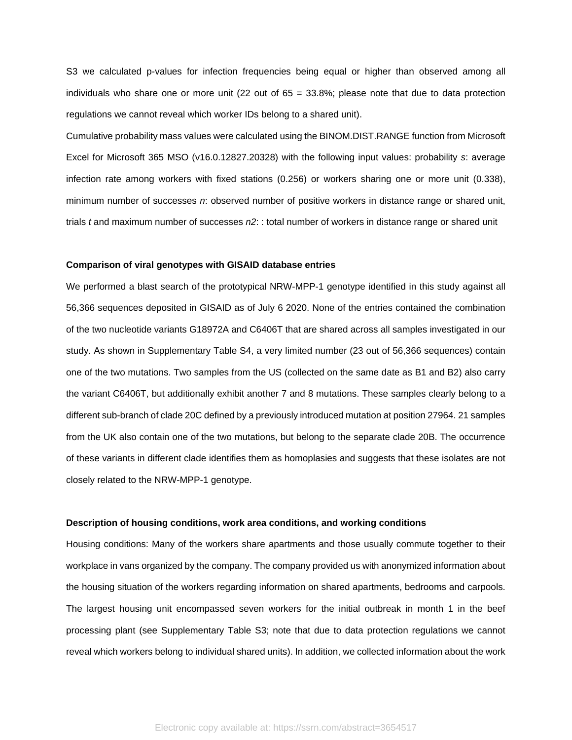S3 we calculated p-values for infection frequencies being equal or higher than observed among all individuals who share one or more unit (22 out of  $65 = 33.8\%$ ; please note that due to data protection regulations we cannot reveal which worker IDs belong to a shared unit).

Cumulative probability mass values were calculated using the BINOM.DIST.RANGE function from Microsoft Excel for Microsoft 365 MSO (v16.0.12827.20328) with the following input values: probability *s*: average infection rate among workers with fixed stations (0.256) or workers sharing one or more unit (0.338), minimum number of successes *n*: observed number of positive workers in distance range or shared unit, trials *t* and maximum number of successes *n2*: : total number of workers in distance range or shared unit

### **Comparison of viral genotypes with GISAID database entries**

We performed a blast search of the prototypical NRW-MPP-1 genotype identified in this study against all 56,366 sequences deposited in GISAID as of July 6 2020. None of the entries contained the combination of the two nucleotide variants G18972A and C6406T that are shared across all samples investigated in our study. As shown in Supplementary Table S4, a very limited number (23 out of 56,366 sequences) contain one of the two mutations. Two samples from the US (collected on the same date as B1 and B2) also carry the variant C6406T, but additionally exhibit another 7 and 8 mutations. These samples clearly belong to a different sub-branch of clade 20C defined by a previously introduced mutation at position 27964. 21 samples from the UK also contain one of the two mutations, but belong to the separate clade 20B. The occurrence of these variants in different clade identifies them as homoplasies and suggests that these isolates are not closely related to the NRW-MPP-1 genotype.

#### **Description of housing conditions, work area conditions, and working conditions**

Housing conditions: Many of the workers share apartments and those usually commute together to their workplace in vans organized by the company. The company provided us with anonymized information about the housing situation of the workers regarding information on shared apartments, bedrooms and carpools. The largest housing unit encompassed seven workers for the initial outbreak in month 1 in the beef processing plant (see Supplementary Table S3; note that due to data protection regulations we cannot reveal which workers belong to individual shared units). In addition, we collected information about the work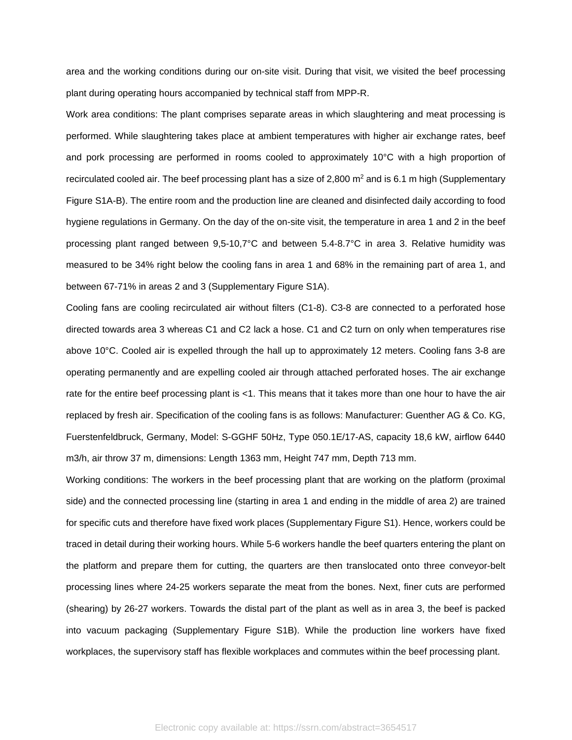area and the working conditions during our on-site visit. During that visit, we visited the beef processing plant during operating hours accompanied by technical staff from MPP-R.

Work area conditions: The plant comprises separate areas in which slaughtering and meat processing is performed. While slaughtering takes place at ambient temperatures with higher air exchange rates, beef and pork processing are performed in rooms cooled to approximately 10°C with a high proportion of recirculated cooled air. The beef processing plant has a size of 2,800 m<sup>2</sup> and is 6.1 m high (Supplementary Figure S1A-B). The entire room and the production line are cleaned and disinfected daily according to food hygiene regulations in Germany. On the day of the on-site visit, the temperature in area 1 and 2 in the beef processing plant ranged between 9,5-10,7°C and between 5.4-8.7°C in area 3. Relative humidity was measured to be 34% right below the cooling fans in area 1 and 68% in the remaining part of area 1, and between 67-71% in areas 2 and 3 (Supplementary Figure S1A).

Cooling fans are cooling recirculated air without filters (C1-8). C3-8 are connected to a perforated hose directed towards area 3 whereas C1 and C2 lack a hose. C1 and C2 turn on only when temperatures rise above 10°C. Cooled air is expelled through the hall up to approximately 12 meters. Cooling fans 3-8 are operating permanently and are expelling cooled air through attached perforated hoses. The air exchange rate for the entire beef processing plant is <1. This means that it takes more than one hour to have the air replaced by fresh air. Specification of the cooling fans is as follows: Manufacturer: Guenther AG & Co. KG, Fuerstenfeldbruck, Germany, Model: S-GGHF 50Hz, Type 050.1E/17-AS, capacity 18,6 kW, airflow 6440 m3/h, air throw 37 m, dimensions: Length 1363 mm, Height 747 mm, Depth 713 mm.

Working conditions: The workers in the beef processing plant that are working on the platform (proximal side) and the connected processing line (starting in area 1 and ending in the middle of area 2) are trained for specific cuts and therefore have fixed work places (Supplementary Figure S1). Hence, workers could be traced in detail during their working hours. While 5-6 workers handle the beef quarters entering the plant on the platform and prepare them for cutting, the quarters are then translocated onto three conveyor-belt processing lines where 24-25 workers separate the meat from the bones. Next, finer cuts are performed (shearing) by 26-27 workers. Towards the distal part of the plant as well as in area 3, the beef is packed into vacuum packaging (Supplementary Figure S1B). While the production line workers have fixed workplaces, the supervisory staff has flexible workplaces and commutes within the beef processing plant.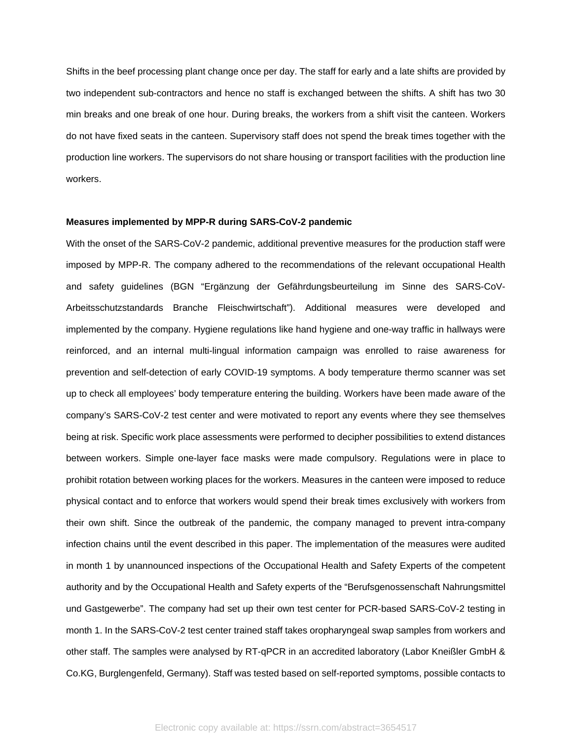Shifts in the beef processing plant change once per day. The staff for early and a late shifts are provided by two independent sub-contractors and hence no staff is exchanged between the shifts. A shift has two 30 min breaks and one break of one hour. During breaks, the workers from a shift visit the canteen. Workers do not have fixed seats in the canteen. Supervisory staff does not spend the break times together with the production line workers. The supervisors do not share housing or transport facilities with the production line workers.

### **Measures implemented by MPP-R during SARS-CoV-2 pandemic**

With the onset of the SARS-CoV-2 pandemic, additional preventive measures for the production staff were imposed by MPP-R. The company adhered to the recommendations of the relevant occupational Health and safety guidelines (BGN "Ergänzung der Gefährdungsbeurteilung im Sinne des SARS-CoV-Arbeitsschutzstandards Branche Fleischwirtschaft"). Additional measures were developed and implemented by the company. Hygiene regulations like hand hygiene and one-way traffic in hallways were reinforced, and an internal multi-lingual information campaign was enrolled to raise awareness for prevention and self-detection of early COVID-19 symptoms. A body temperature thermo scanner was set up to check all employees' body temperature entering the building. Workers have been made aware of the company's SARS-CoV-2 test center and were motivated to report any events where they see themselves being at risk. Specific work place assessments were performed to decipher possibilities to extend distances between workers. Simple one-layer face masks were made compulsory. Regulations were in place to prohibit rotation between working places for the workers. Measures in the canteen were imposed to reduce physical contact and to enforce that workers would spend their break times exclusively with workers from their own shift. Since the outbreak of the pandemic, the company managed to prevent intra-company infection chains until the event described in this paper. The implementation of the measures were audited in month 1 by unannounced inspections of the Occupational Health and Safety Experts of the competent authority and by the Occupational Health and Safety experts of the "Berufsgenossenschaft Nahrungsmittel und Gastgewerbe". The company had set up their own test center for PCR-based SARS-CoV-2 testing in month 1. In the SARS-CoV-2 test center trained staff takes oropharyngeal swap samples from workers and other staff. The samples were analysed by RT-qPCR in an accredited laboratory (Labor Kneißler GmbH & Co.KG, Burglengenfeld, Germany). Staff was tested based on self-reported symptoms, possible contacts to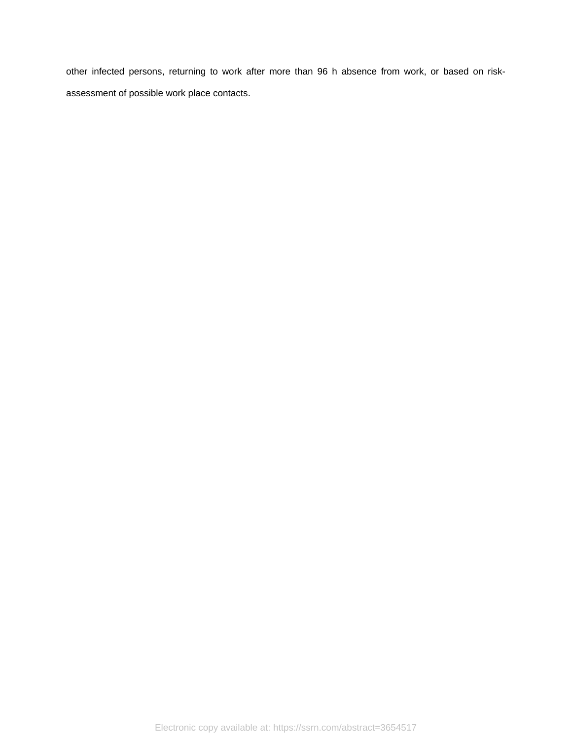other infected persons, returning to work after more than 96 h absence from work, or based on riskassessment of possible work place contacts.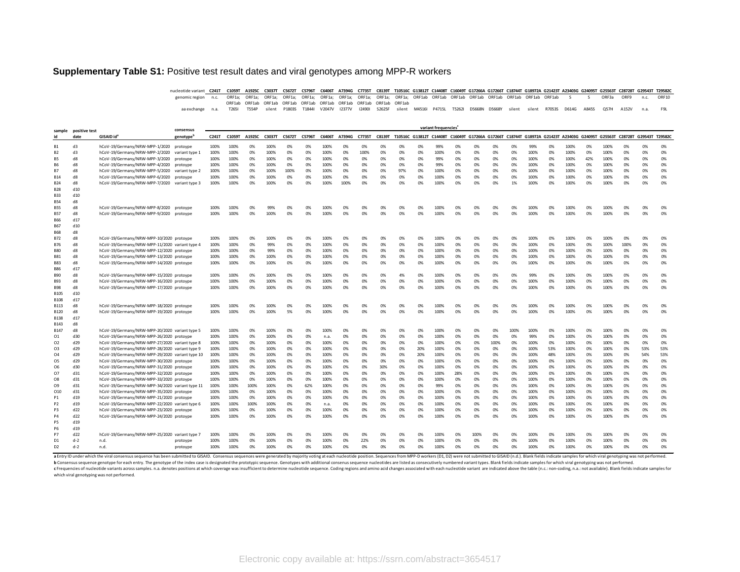### **Supplementary Table S1:** Positive test result dates and viral genotypes among MPP-R workers

nucleotide variant C241T C1059T A1925C C3037T C5672T C5796T C6406T A7394G C7735T C8139T T10516C G13812T C14408T C16049T G17266A G17266A G17266T C18744T G18972A G21423T A23403G G24095T G25563T C28728T G29543T T29582C genomic region n.c. ORF1a; ORF1a; ORF1a; ORF1a; ORF1a; ORF1a; ORF1a; ORF1a; ORF1ab ORF1ab ORF1ab ORF1ab ORF1ab ORF1ab S S ORF3a ORF9 n.c. ORF10 ORF1ab ORF1ab ORF1ab ORF1ab ORF1ab ORF1ab ORF1ab ORF1ab ORF1ab ORF1ab aa exchange n.a. T265I T554P silent P1803S T1844I V2047V I2377V I2490I S2625F silent M4516I P4715L T5262I D5668N D5668Y silent silent R7053S D614G A845S Q57H A152V n.a. F9L

| sample                 | positive test |                                                                           | consensus      |              |              |          |              |          |          |              |          |            |          |          |          | variant frequencies |          |                                                                                                                                |          |          |             |          |              |          |              |          |          |          |
|------------------------|---------------|---------------------------------------------------------------------------|----------------|--------------|--------------|----------|--------------|----------|----------|--------------|----------|------------|----------|----------|----------|---------------------|----------|--------------------------------------------------------------------------------------------------------------------------------|----------|----------|-------------|----------|--------------|----------|--------------|----------|----------|----------|
|                        | date          | GISAID id <sup>3</sup>                                                    | genotype       | C241T        | C1059T       | A1925C   | C3037T       | C5672T   | C5796T   | C6406T       | A7394G   | C7735T     |          |          |          |                     |          | C8139T T10516C G13812T C14408T C16049T G17266A G17266T C18744T G18972A G21423T A23403G G24095T G25563T C28728T G29543T T29582C |          |          |             |          |              |          |              |          |          |          |
|                        |               |                                                                           |                |              |              |          |              |          |          |              |          |            |          |          |          |                     |          |                                                                                                                                |          |          |             |          |              |          |              |          |          |          |
| <b>B1</b><br><b>B2</b> | d3<br>d3      | hCoV-19/Germany/NRW-MPP-1/2020 protoype<br>hCoV-19/Germany/NRW-MPP-2/2020 | variant type 1 | 100%<br>100% | 100%<br>100% | 0%<br>0% | 100%<br>100% | 0%<br>0% | 0%<br>0% | 100%<br>100% | 0%<br>0% | 0%<br>100% | 0%<br>0% | 0%<br>0% | 0%<br>0% | 99%<br>100%         | 0%<br>0% | 0%<br>0%                                                                                                                       | 0%<br>0% | 0%<br>0% | 99%<br>100% | 0%<br>0% | 100%<br>100% | 0%<br>0% | 100%<br>100% | 0%<br>0% | 0%<br>0% | 0%<br>0% |
| B <sub>5</sub>         | d8            | hCoV-19/Germany/NRW-MPP-3/2020                                            | protoype       | 100%         | 100%         | 0%       | 100%         | 0%       | 0%       | 100%         | 0%       | 0%         | 0%       | 0%       | 0%       | 99%                 | 0%       | 0%                                                                                                                             | 0%       | 0%       | 100%        | 0%       | 100%         | 42%      | 100%         | 0%       | 0%       | 0%       |
| <b>B6</b>              | d8            | hCoV-19/Germany/NRW-MPP-4/2020                                            | protovpe       | 100%         | 100%         | 0%       | 100%         | 0%       | 0%       | 100%         | 0%       | 0%         | 0%       | 0%       | 0%       | 99%                 | 0%       | 0%                                                                                                                             | 0%       | 0%       | 100%        | 0%       | 100%         | 0%       | 100%         | 0%       | 0%       | 0%       |
| <b>B7</b>              | d8            | hCoV-19/Germany/NRW-MPP-5/2020 variant type 2                             |                | 100%         | 100%         | 0%       | 100%         | 100%     | 0%       | 100%         | 0%       | 0%         | 0%       | 97%      | 0%       | 100%                | 0%       | 0%                                                                                                                             | 0%       | 0%       | 100%        | 0%       | 100%         | 0%       | 100%         | 0%       | 0%       | 0%       |
| <b>B14</b>             | d8            | hCoV-19/Germany/NRW-MPP-6/2020                                            | protoype       | 100%         | 100%         | 0%       | 100%         | 0%       | 0%       | 100%         | 0%       | 0%         | 0%       | 0%       | 0%       | 100%                | 0%       | 0%                                                                                                                             | 0%       | 0%       | 100%        | 0%       | 100%         | 0%       | 100%         | 0%       | 0%       | 0%       |
| <b>B24</b>             | d8            | hCoV-19/Germany/NRW-MPP-7/2020 variant type 3                             |                | 100%         | 100%         | 0%       | 100%         | 0%       | 0%       | 100%         | 100%     | 0%         | 0%       | 0%       | 0%       | 100%                | 0%       | 0%                                                                                                                             | 0%       | 1%       | 100%        | 0%       | 100%         | 0%       | 100%         | 0%       | 0%       | 0%       |
| <b>B28</b>             | d10           |                                                                           |                |              |              |          |              |          |          |              |          |            |          |          |          |                     |          |                                                                                                                                |          |          |             |          |              |          |              |          |          |          |
| <b>B33</b>             | d10           |                                                                           |                |              |              |          |              |          |          |              |          |            |          |          |          |                     |          |                                                                                                                                |          |          |             |          |              |          |              |          |          |          |
| <b>B54</b>             | d8            |                                                                           |                |              |              |          |              |          |          |              |          |            |          |          |          |                     |          |                                                                                                                                |          |          |             |          |              |          |              |          |          |          |
| <b>B55</b>             | d8            | hCoV-19/Germany/NRW-MPP-8/2020                                            | protovpe       | 100%         | 100%         | 0%       | 99%          | 0%       | 0%       | 100%         | 0%       | 0%         | 0%       | 0%       | 0%       | 100%                | 0%       | 0%                                                                                                                             | 0%       | 0%       | 100%        | 0%       | 100%         | 0%       | 100%         | 0%       | 0%       | 0%       |
| <b>B57</b>             | d8            | hCoV-19/Germany/NRW-MPP-9/2020                                            | protoype       | 100%         | 100%         | 0%       | 100%         | 0%       | 0%       | 100%         | 0%       | 0%         | 0%       | 0%       | 0%       | 100%                | 0%       | 0%                                                                                                                             | 0%       | 0%       | 100%        | 0%       | 100%         | 0%       | 100%         | 0%       | 0%       | 0%       |
| <b>B66</b>             | d17           |                                                                           |                |              |              |          |              |          |          |              |          |            |          |          |          |                     |          |                                                                                                                                |          |          |             |          |              |          |              |          |          |          |
| <b>B67</b>             | d10           |                                                                           |                |              |              |          |              |          |          |              |          |            |          |          |          |                     |          |                                                                                                                                |          |          |             |          |              |          |              |          |          |          |
| <b>B68</b>             | d8            |                                                                           |                |              |              |          |              |          |          |              |          |            |          |          |          |                     |          |                                                                                                                                |          |          |             |          |              |          |              |          |          |          |
| <b>B72</b>             | d8            | hCoV-19/Germany/NRW-MPP-10/2020 protoype                                  |                | 100%         | 100%         | 0%       | 100%         | 0%       | 0%       | 100%         | 0%       | 0%         | 0%       | 0%       | 0%       | 100%                | 0%       | 0%                                                                                                                             | 0%       | 0%       | 100%        | 0%       | 100%         | 0%       | 100%         | 0%       | 0%       | 0%       |
| <b>B76</b>             | d8            | hCoV-19/Germany/NRW-MPP-11/2020 variant type 4                            |                | 100%         | 100%         | 0%       | 99%          | 0%       | 0%       | 100%         | 0%       | 0%         | 0%       | 0%       | 0%       | 100%                | 0%       | 0%                                                                                                                             | 0%       | 0%       | 100%        | 0%       | 100%         | 0%       | 100%         | 100%     | 0%       | 0%       |
| <b>B80</b>             | d8            | hCoV-19/Germany/NRW-MPP-12/2020 protoype                                  |                | 100%         | 100%         | 0%       | 99%          | 0%       | 0%       | 100%         | 0%       | 0%         | 0%       | 0%       | 0%       | 100%                | 0%       | 0%                                                                                                                             | 0%       | 0%       | 100%        | 0%       | 100%         | 0%       | 100%         | 0%       | 0%       | 0%       |
| <b>B81</b>             | d8            | hCoV-19/Germany/NRW-MPP-13/2020 protoype                                  |                | 100%         | 100%         | 0%       | 100%         | 0%       | 0%       | 100%         | 0%       | 0%         | 0%       | 0%       | 0%       | 100%                | 0%       | 0%                                                                                                                             | 0%       | 0%       | 100%        | 0%       | 100%         | 0%       | 100%         | 0%       | 0%       | 0%       |
| <b>B83</b>             | d8            | hCoV-19/Germany/NRW-MPP-14/2020 protoype                                  |                | 100%         | 100%         | 0%       | 100%         | 0%       | 0%       | 100%         | 0%       | 0%         | 0%       | 0%       | 0%       | 100%                | 0%       | 0%                                                                                                                             | 0%       | 0%       | 100%        | 0%       | 100%         | 0%       | 100%         | 0%       | 0%       | 0%       |
| <b>B86</b>             | d17           |                                                                           |                |              |              |          |              |          |          |              |          |            |          |          |          |                     |          |                                                                                                                                |          |          |             |          |              |          |              |          |          |          |
| <b>B90</b>             | d8            | hCoV-19/Germany/NRW-MPP-15/2020 protoype                                  |                | 100%         | 100%         | 0%       | 100%         | 0%       | 0%       | 100%         | 0%       | 0%         | 0%       | 4%       | 0%       | 100%                | 0%       | 0%                                                                                                                             | 0%       | 0%       | 99%         | 0%       | 100%         | 0%       | 100%         | 0%       | 0%       | 0%       |
| <b>B93</b>             | d8            | hCoV-19/Germany/NRW-MPP-16/2020 protoype                                  |                | 100%         | 100%         | 0%       | 100%         | 0%       | 0%       | 100%         | 0%       | 0%         | 0%       | 0%       | 0%       | 100%                | 0%       | 0%                                                                                                                             | 0%       | 0%       | 100%        | 0%       | 100%         | 0%       | 100%         | 0%       | 0%       | 0%       |
| <b>B98</b>             | d8            | hCoV-19/Germany/NRW-MPP-17/2020 protoype                                  |                | 100%         | 100%         | 0%       | 100%         | 0%       | 0%       | 100%         | 0%       | 0%         | 0%       | 0%       | 0%       | 100%                | 0%       | 0%                                                                                                                             | 0%       | 0%       | 100%        | 0%       | 100%         | 0%       | 100%         | 0%       | 0%       | 0%       |
| <b>B105</b>            | d10           |                                                                           |                |              |              |          |              |          |          |              |          |            |          |          |          |                     |          |                                                                                                                                |          |          |             |          |              |          |              |          |          |          |
| <b>B108</b>            | d17           |                                                                           |                |              |              |          |              |          |          |              |          |            |          |          |          |                     |          |                                                                                                                                |          |          |             |          |              |          |              |          |          |          |
| <b>B113</b>            | d8            | hCoV-19/Germany/NRW-MPP-18/2020 protoype                                  |                | 100%         | 100%         | 0%       | 100%         | 0%       | 0%       | 100%         | 0%       | 0%         | 0%       | 0%       | 0%       | 100%                | 0%       | 0%                                                                                                                             | 0%       | 0%       | 100%        | 0%       | 100%         | 0%       | 100%         | 0%       | 0%       | 0%       |
| B120                   | d8            | hCoV-19/Germany/NRW-MPP-19/2020 protoype                                  |                | 100%         | 100%         | 0%       | 100%         | 5%       | 0%       | 100%         | 0%       | 0%         | 0%       | 0%       | 0%       | 100%                | 0%       | 0%                                                                                                                             | 0%       | 0%       | 100%        | 0%       | 100%         | 0%       | 100%         | 0%       | 0%       | 0%       |
| <b>B138</b>            | d17           |                                                                           |                |              |              |          |              |          |          |              |          |            |          |          |          |                     |          |                                                                                                                                |          |          |             |          |              |          |              |          |          |          |
| <b>B143</b>            | d8            |                                                                           |                |              |              |          |              |          |          |              |          |            |          |          |          |                     |          |                                                                                                                                |          |          |             |          |              |          |              |          |          |          |
| <b>B147</b>            | d8            | hCoV-19/Germany/NRW-MPP-20/2020 variant type 5                            |                | 100%         | 100%         | 0%       | 100%         | 0%       | 0%       | 100%         | 0%       | 0%         | 0%       | 0%       | 0%       | 100%                | 0%       | 0%                                                                                                                             | 0%       | 100%     | 100%        | 0%       | 100%         | 0%       | 100%         | 0%       | 0%       | 0%       |
| 01                     | d30           | hCoV-19/Germany/NRW-MPP-26/2020 protoype                                  |                | 100%         | 100%         | 0%       | 100%         | 0%       | 0%       | n.a.         | 0%       | 0%         | 0%       | 0%       | 0%       | 100%                | 0%       | 0%                                                                                                                             | 0%       | 0%       | 99%         | 0%       | 100%         | 0%       | 100%         | 0%       | 0%       | 0%       |
| 02                     | d29           | hCoV-19/Germany/NRW-MPP-27/2020 variant type 8                            |                | 100%         | 100%         | 0%       | 100%         | 0%       | 0%       | 100%         | 0%       | 0%         | 0%       | 0%       | 0%       | 100%                | 0%       | 0%                                                                                                                             | 100%     | 0%       | 100%        | 0%       | 100%         | 0%       | 100%         | 0%       | 0%       | 0%       |
| O <sub>3</sub>         | d29           | hCoV-19/Germany/NRW-MPP-28/2020 variant type 9                            |                | 100%         | 100%         | 0%       | 100%         | 0%       | 0%       | 100%         | 0%       | 0%         | 0%       | 0%       | 20%      | 100%                | 0%       | 0%                                                                                                                             | 0%       | 0%       | 100%        | 53%      | 100%         | 0%       | 100%         | 0%       | 53%      | 53%      |
| 04                     | d29           | hCoV-19/Germany/NRW-MPP-29/2020 variant type 10                           |                | 100%         | 100%         | 0%       | 100%         | 0%       | 0%       | 100%         | 0%       | 0%         | 0%       | 0%       | 20%      | 100%                | 0%       | 0%                                                                                                                             | 0%       | 0%       | 100%        | 48%      | 100%         | 0%       | 100%         | 0%       | 54%      | 53%      |
| 05                     | d29           | hCoV-19/Germany/NRW-MPP-30/2020 protoype                                  |                | 100%         | 100%         | 0%       | 100%         | 0%       | 0%       | 100%         | 0%       | 0%         | 0%       | 0%       | 0%       | 100%                | 0%       | 0%                                                                                                                             | 0%       | 0%       | 100%        | 0%       | 100%         | 0%       | 100%         | 0%       | 0%       | 0%       |
| <b>O6</b>              | d30           | hCoV-19/Germany/NRW-MPP-31/2020 protoype                                  |                | 100%         | 100%         | 0%       | 100%         | 0%       | 0%       | 100%         | 0%       | 0%         | 30%      | 0%       | 0%       | 100%                | 0%       | 0%                                                                                                                             | 0%       | 0%       | 100%        | 0%       | 100%         | 0%       | 100%         | 0%       | 0%       | 0%       |
| 07                     | d31           | hCoV-19/Germany/NRW-MPP-32/2020 protoype                                  |                | 100%         | 100%         | 0%       | 100%         | 0%       | 0%       | 100%         | 0%       | 0%         | 0%       | 0%       | 0%       | 100%                | 28%      | 0%                                                                                                                             | 0%       | 0%       | 100%        | 0%       | 100%         | 0%       | 100%         | 0%       | 0%       | 0%       |
| O8                     | d31           | hCoV-19/Germany/NRW-MPP-33/2020 protoype                                  |                | 100%         | 100%         | 0%       | 100%         | 0%       | 0%       | 100%         | 0%       | 0%         | 0%       | 0%       | 0%       | 100%                | 0%       | 0%                                                                                                                             | 0%       | 0%       | 100%        | 0%       | 100%         | 0%       | 100%         | 0%       | 0%       | 0%       |
| O <sub>9</sub>         | d31           | hCoV-19/Germany/NRW-MPP-34/2020 variant type 11                           |                | 100%         | 100%         | 100%     | 100%         | 0%       | 62%      | 100%         | 0%       | 0%         | 0%       | 0%       | 0%       | 99%                 | 0%       | 0%                                                                                                                             | 0%       | 0%       | 100%        | 0%       | 100%         | 0%       | 100%         | 0%       | 0%       | 0%       |
| O10                    | d31           | hCoV-19/Germany/NRW-MPP-35/2020 protoype                                  |                | 100%         | 100%         | 0%       | 100%         | 0%       | 0%       | 100%         | 0%       | 0%         | 0%       | 0%       | 0%       | 100%                | 0%       | 0%                                                                                                                             | 0%       | 0%       | 100%        | 0%       | 100%         | 0%       | 100%         | 0%       | 0%       | 0%       |
| P1                     | d19           | hCoV-19/Germany/NRW-MPP-21/2020 protoype                                  |                | 100%         | 100%         | 0%       | 100%         | 0%       | 0%       | 100%         | 0%       | 0%         | 0%       | 0%       | 0%       | 100%                | 0%       | 0%                                                                                                                             | 0%       | 0%       | 100%        | 0%       | 100%         | 0%       | 100%         | 0%       | 0%       | 0%       |
| P <sub>2</sub>         | d19           | hCoV-19/Germany/NRW-MPP-22/2020 variant type 6                            |                | 100%         | 100%         | 100%     | 100%         | 0%       | 0%       | n.a.         | 0%       | 0%         | 0%       | 0%       | 0%       | 100%                | 0%       | 0%                                                                                                                             | 0%       | 0%       | 100%        | 0%       | 100%         | 0%       | 100%         | 0%       | 0%       | 0%       |
| P3                     | d22           | hCoV-19/Germany/NRW-MPP-23/2020 protoype                                  |                | 100%         | 100%         | 0%       | 100%         | 0%       | 0%       | 100%         | 0%       | 0%         | 0%       | 0%       | 0%       | 100%                | 0%       | 0%                                                                                                                             | 0%       | 0%       | 100%        | 0%       | 100%         | 0%       | 100%         | 0%       | 0%       | 0%       |
| P4                     | d22           | hCoV-19/Germany/NRW-MPP-24/2020 protoype                                  |                | 100%         | 100%         | 0%       | 100%         | 0%       | 0%       | 100%         | 0%       | 0%         | 0%       | 0%       | 0%       | 100%                | 0%       | 0%                                                                                                                             | 0%       | 0%       | 100%        | 0%       | 100%         | 0%       | 100%         | 0%       | 0%       | 0%       |
| P5                     | d19           |                                                                           |                |              |              |          |              |          |          |              |          |            |          |          |          |                     |          |                                                                                                                                |          |          |             |          |              |          |              |          |          |          |
| P6                     | d19           |                                                                           |                |              |              |          |              |          |          |              |          |            |          |          |          |                     |          |                                                                                                                                |          |          |             |          |              |          |              |          |          |          |
| P7                     | d22           | hCoV-19/Germany/NRW-MPP-25/2020 variant type 7                            |                | 100%         | 100%         | 0%       | 100%         | 0%       | 0%       | 100%         | 0%       | 0%         | 0%       | 0%       | 0%       | 100%                | 0%       | 100%                                                                                                                           | 0%       | 0%       | 100%        | 0%       | 100%         | 0%       | 100%         | 0%       | 0%       | 0%       |
| D <sub>1</sub>         | $d-2$         | n.d.                                                                      | protoype       | 100%         | 100%         | 0%       | 100%         | 0%       | 0%       | 100%         | 0%       | 22%        | 0%       | 0%       | 0%       | 100%                | 0%       | 0%                                                                                                                             | 0%       | 0%       | 100%        | 0%       | 100%         | 0%       | 100%         | 0%       | 0%       | 0%       |
| D <sub>2</sub>         | $d-2$         | n.d.                                                                      | protoype       | 100%         | 100%         | 0%       | 100%         | 0%       | 0%       | 100%         | 0%       | 0%         | 0%       | 0%       | 0%       | 100%                | 0%       | 0%                                                                                                                             | 0%       | 0%       | 100%        | 0%       | 100%         | 0%       | 100%         | 0%       | 0%       | 0%       |

a Entry ID under which the viral consensus sequence has been submitted to GISAID. Consensus sequences were generated by majority voting at each nucleotide position. Sequences from MPP-D workers (D1, D2) were not submitted b Consensus sequence genotype for each entry. The genotype of the index case is designated the prototypic sequence. Genotypes with additional consenus sequence nucleotides are listed as consecutively numbered variant types c Frequencies of nucleotide variants across samples. n.a. denotes positions at which coverage was insufficient to determine nucleotide sequence. Coding regions and amino acid changes associated with each nucleotide variant

which viral genotyping was not performed.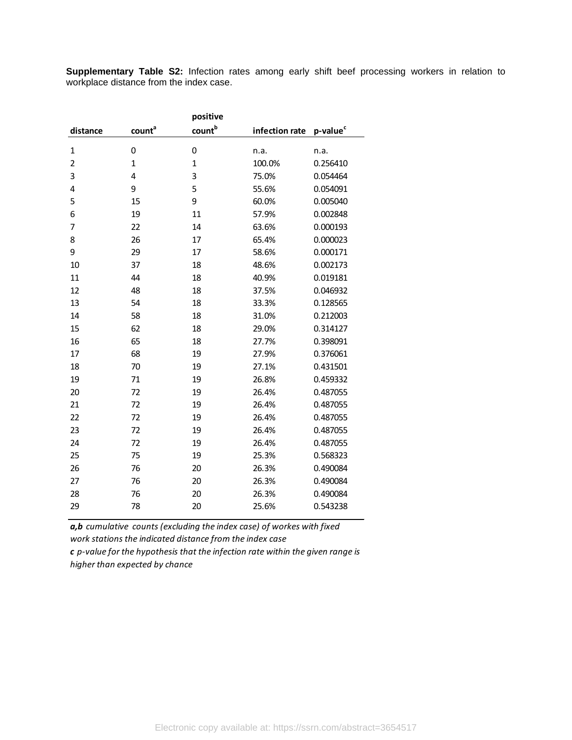**Supplementary Table S2:** Infection rates among early shift beef processing workers in relation to workplace distance from the index case.

|                |                    | positive     |                |                      |
|----------------|--------------------|--------------|----------------|----------------------|
| distance       | count <sup>a</sup> | countb       | infection rate | p-value <sup>c</sup> |
| 1              | 0                  | 0            | n.a.           | n.a.                 |
| $\overline{2}$ | $\mathbf{1}$       | $\mathbf{1}$ | 100.0%         | 0.256410             |
| 3              | 4                  | 3            | 75.0%          | 0.054464             |
| 4              | 9                  | 5            | 55.6%          | 0.054091             |
| 5              | 15                 | 9            | 60.0%          | 0.005040             |
| 6              | 19                 | 11           | 57.9%          | 0.002848             |
| 7              | 22                 | 14           | 63.6%          | 0.000193             |
| 8              | 26                 | 17           | 65.4%          | 0.000023             |
| 9              | 29                 | 17           | 58.6%          | 0.000171             |
| 10             | 37                 | 18           | 48.6%          | 0.002173             |
| 11             | 44                 | 18           | 40.9%          | 0.019181             |
| 12             | 48                 | 18           | 37.5%          | 0.046932             |
| 13             | 54                 | 18           | 33.3%          | 0.128565             |
| 14             | 58                 | 18           | 31.0%          | 0.212003             |
| 15             | 62                 | 18           | 29.0%          | 0.314127             |
| 16             | 65                 | 18           | 27.7%          | 0.398091             |
| 17             | 68                 | 19           | 27.9%          | 0.376061             |
| 18             | 70                 | 19           | 27.1%          | 0.431501             |
| 19             | 71                 | 19           | 26.8%          | 0.459332             |
| 20             | 72                 | 19           | 26.4%          | 0.487055             |
| 21             | 72                 | 19           | 26.4%          | 0.487055             |
| 22             | 72                 | 19           | 26.4%          | 0.487055             |
| 23             | 72                 | 19           | 26.4%          | 0.487055             |
| 24             | 72                 | 19           | 26.4%          | 0.487055             |
| 25             | 75                 | 19           | 25.3%          | 0.568323             |
| 26             | 76                 | 20           | 26.3%          | 0.490084             |
| 27             | 76                 | 20           | 26.3%          | 0.490084             |
| 28             | 76                 | 20           | 26.3%          | 0.490084             |
| 29             | 78                 | 20           | 25.6%          | 0.543238             |

*a,b cumulative counts (excluding the index case) of workes with fixed* 

*work stations the indicated distance from the index case*

*c p-value for the hypothesis that the infection rate within the given range is higher than expected by chance*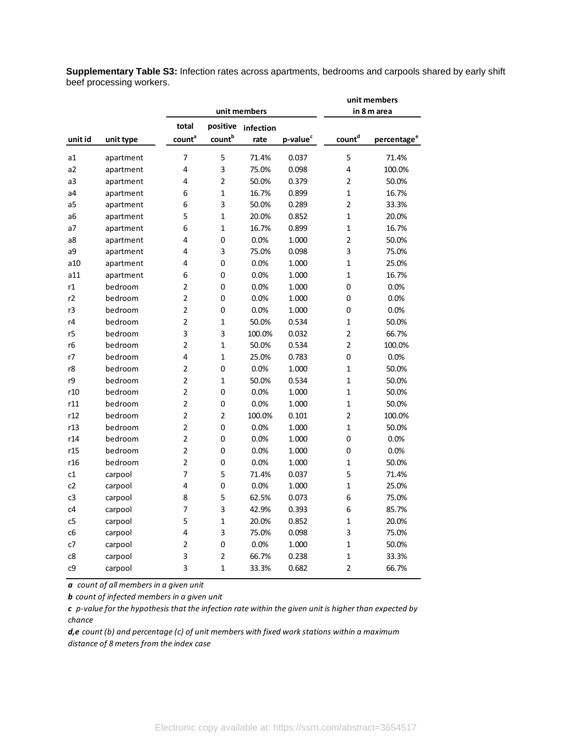**Supplementary Table S3:** Infection rates across apartments, bedrooms and carpools shared by early shift beef processing workers.

|                |           |                    |                       | unit members |                      |                    |                         |  |  |
|----------------|-----------|--------------------|-----------------------|--------------|----------------------|--------------------|-------------------------|--|--|
|                |           |                    | unit members          | in 8 m area  |                      |                    |                         |  |  |
|                |           | total              | positive<br>infection |              |                      |                    |                         |  |  |
| unit id        | unit type | count <sup>a</sup> | count <sup>b</sup>    | rate         | p-value <sup>c</sup> | count <sup>d</sup> | percentage <sup>e</sup> |  |  |
| a1             | apartment | $\overline{7}$     | 5                     | 71.4%        | 0.037                | 5                  | 71.4%                   |  |  |
| a2             | apartment | 4                  | 3                     | 75.0%        | 0.098                | 4                  | 100.0%                  |  |  |
| a <sub>3</sub> | apartment | 4                  | $\overline{2}$        | 50.0%        | 0.379                | $\overline{2}$     | 50.0%                   |  |  |
| a <sub>4</sub> | apartment | 6                  | $\mathbf{1}$          | 16.7%        | 0.899                | $\mathbf 1$        | 16.7%                   |  |  |
| a5             | apartment | 6                  | 3                     | 50.0%        | 0.289                | $\overline{2}$     | 33.3%                   |  |  |
| a6             | apartment | 5                  | $\mathbf 1$           | 20.0%        | 0.852                | $\mathbf{1}$       | 20.0%                   |  |  |
| a <sub>7</sub> | apartment | 6                  | 1                     | 16.7%        | 0.899                | 1                  | 16.7%                   |  |  |
| a8             | apartment | 4                  | 0                     | 0.0%         | 1.000                | 2                  | 50.0%                   |  |  |
| a9             | apartment | 4                  | 3                     | 75.0%        | 0.098                | 3                  | 75.0%                   |  |  |
| a10            | apartment | 4                  | 0                     | 0.0%         | 1.000                | 1                  | 25.0%                   |  |  |
| a11            | apartment | 6                  | 0                     | 0.0%         | 1.000                | 1                  | 16.7%                   |  |  |
| r1             | bedroom   | $\overline{2}$     | 0                     | 0.0%         | 1.000                | 0                  | 0.0%                    |  |  |
| r2             | bedroom   | $\overline{2}$     | 0                     | 0.0%         | 1.000                | 0                  | 0.0%                    |  |  |
| r3             | bedroom   | $\overline{2}$     | 0                     | 0.0%         | 1.000                | 0                  | 0.0%                    |  |  |
| r4             | bedroom   | $\overline{2}$     | 1                     | 50.0%        | 0.534                | 1                  | 50.0%                   |  |  |
| r5             | bedroom   | 3                  | 3                     | 100.0%       | 0.032                | $\overline{2}$     | 66.7%                   |  |  |
| r6             | bedroom   | $\overline{2}$     | $\mathbf 1$           | 50.0%        | 0.534                | $\overline{2}$     | 100.0%                  |  |  |
| r7             | bedroom   | 4                  | 1                     | 25.0%        | 0.783                | 0                  | 0.0%                    |  |  |
| r8             | bedroom   | $\overline{2}$     | 0                     | 0.0%         | 1.000                | $\mathbf{1}$       | 50.0%                   |  |  |
| r9             | bedroom   | $\overline{2}$     | $\mathbf 1$           | 50.0%        | 0.534                | $\mathbf{1}$       | 50.0%                   |  |  |
| r10            | bedroom   | $\overline{2}$     | 0                     | 0.0%         | 1.000                | 1                  | 50.0%                   |  |  |
| r11            | bedroom   | $\overline{2}$     | 0                     | 0.0%         | 1.000                | 1                  | 50.0%                   |  |  |
| r12            | bedroom   | $\overline{2}$     | $\overline{2}$        | 100.0%       | 0.101                | $\overline{2}$     | 100.0%                  |  |  |
| r13            | bedroom   | $\overline{2}$     | 0                     | 0.0%         | 1.000                | 1                  | 50.0%                   |  |  |
| r14            | bedroom   | $\overline{2}$     | 0                     | 0.0%         | 1.000                | 0                  | 0.0%                    |  |  |
| r15            | bedroom   | $\overline{2}$     | 0                     | 0.0%         | 1.000                | 0                  | 0.0%                    |  |  |
| r16            | bedroom   | $\overline{2}$     | 0                     | 0.0%         | 1.000                | $\mathbf{1}$       | 50.0%                   |  |  |
| c1             | carpool   | $\overline{7}$     | 5                     | 71.4%        | 0.037                | 5                  | 71.4%                   |  |  |
| c2             | carpool   | 4                  | 0                     | 0.0%         | 1.000                | $\mathbf{1}$       | 25.0%                   |  |  |
| c3             | carpool   | 8                  | 5                     | 62.5%        | 0.073                | 6                  | 75.0%                   |  |  |
| c4             | carpool   | 7                  | 3                     | 42.9%        | 0.393                | 6                  | 85.7%                   |  |  |
| c <sub>5</sub> | carpool   | 5                  | 1                     | 20.0%        | 0.852                | $\mathbf{1}$       | 20.0%                   |  |  |
| c6             | carpool   | 4                  | 3                     | 75.0%        | 0.098                | 3                  | 75.0%                   |  |  |
| c7             | carpool   | $\overline{2}$     | 0                     | 0.0%         | 1.000                | 1                  | 50.0%                   |  |  |
| c8             | carpool   | 3                  | 2                     | 66.7%        | 0.238                | $\mathbf{1}$       | 33.3%                   |  |  |
| c9             | carpool   | 3                  | $\mathbf{1}$          | 33.3%        | 0.682                | $\overline{2}$     | 66.7%                   |  |  |

*a count of all members in a given unit* 

*b count of infected members in a given unit* 

*c p-value for the hypothesis that the infection rate within the given unit is higher than expected by chance*

*d,e count (b) and percentage (c) of unit members with fixed work stations within a maximum distance of 8 meters from the index case*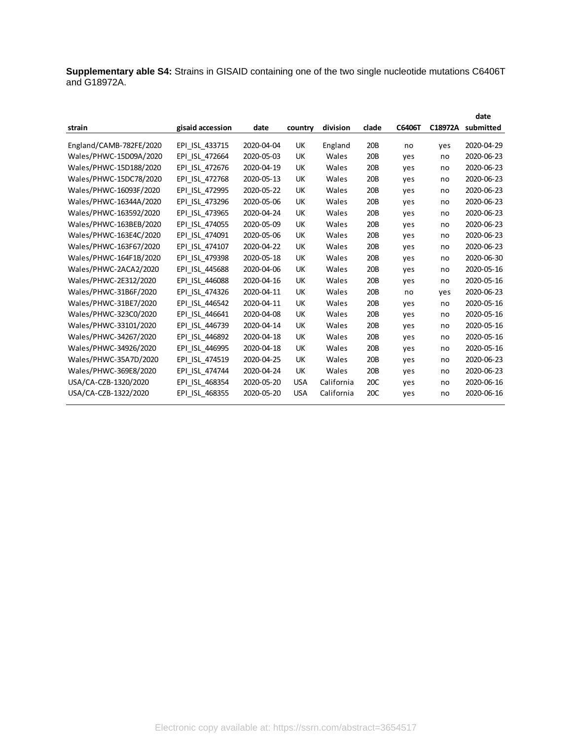**Supplementary able S4:** Strains in GISAID containing one of the two single nucleotide mutations C6406T and G18972A.

| strain                  | gisaid accession | date       | country    | division   | clade           | C6406T | C18972A | date<br>submitted |
|-------------------------|------------------|------------|------------|------------|-----------------|--------|---------|-------------------|
|                         |                  |            |            |            |                 |        |         |                   |
| England/CAMB-782FE/2020 | EPI ISL 433715   | 2020-04-04 | <b>UK</b>  | England    | 20 <sub>B</sub> | no     | ves     | 2020-04-29        |
| Wales/PHWC-15D09A/2020  | EPI ISL 472664   | 2020-05-03 | UK         | Wales      | 20B             | yes    | no      | 2020-06-23        |
| Wales/PHWC-15D188/2020  | EPI ISL 472676   | 2020-04-19 | UK         | Wales      | 20B             | yes    | no      | 2020-06-23        |
| Wales/PHWC-15DC78/2020  | EPI ISL 472768   | 2020-05-13 | UK         | Wales      | 20B             | yes    | no      | 2020-06-23        |
| Wales/PHWC-16093F/2020  | EPI ISL 472995   | 2020-05-22 | UK         | Wales      | 20B             | yes    | no      | 2020-06-23        |
| Wales/PHWC-16344A/2020  | EPI ISL 473296   | 2020-05-06 | UK         | Wales      | 20 <sub>B</sub> | yes    | no      | 2020-06-23        |
| Wales/PHWC-163592/2020  | EPI ISL 473965   | 2020-04-24 | UK         | Wales      | 20B             | yes    | no      | 2020-06-23        |
| Wales/PHWC-163BEB/2020  | EPI ISL 474055   | 2020-05-09 | <b>UK</b>  | Wales      | 20B             | yes    | no      | 2020-06-23        |
| Wales/PHWC-163E4C/2020  | EPI ISL 474091   | 2020-05-06 | <b>UK</b>  | Wales      | 20B             | ves    | no      | 2020-06-23        |
| Wales/PHWC-163F67/2020  | EPI ISL 474107   | 2020-04-22 | UK         | Wales      | 20B             | yes    | no      | 2020-06-23        |
| Wales/PHWC-164F1B/2020  | EPI ISL 479398   | 2020-05-18 | <b>UK</b>  | Wales      | 20B             | yes    | no      | 2020-06-30        |
| Wales/PHWC-2ACA2/2020   | EPI ISL 445688   | 2020-04-06 | <b>UK</b>  | Wales      | 20B             | yes    | no      | 2020-05-16        |
| Wales/PHWC-2E312/2020   | EPI ISL 446088   | 2020-04-16 | <b>UK</b>  | Wales      | 20B             | yes    | no      | 2020-05-16        |
| Wales/PHWC-31B6F/2020   | EPI ISL 474326   | 2020-04-11 | UK         | Wales      | 20 <sub>B</sub> | no     | yes     | 2020-06-23        |
| Wales/PHWC-31BE7/2020   | EPI ISL 446542   | 2020-04-11 | UK         | Wales      | 20 <sub>B</sub> | yes    | no      | 2020-05-16        |
| Wales/PHWC-323C0/2020   | EPI ISL 446641   | 2020-04-08 | UK         | Wales      | 20 <sub>B</sub> | yes    | no      | 2020-05-16        |
| Wales/PHWC-33101/2020   | EPI_ISL_446739   | 2020-04-14 | UK         | Wales      | 20 <sub>B</sub> | yes    | no      | 2020-05-16        |
| Wales/PHWC-34267/2020   | EPI ISL 446892   | 2020-04-18 | <b>UK</b>  | Wales      | 20 <sub>B</sub> | yes    | no      | 2020-05-16        |
| Wales/PHWC-34926/2020   | EPI_ISL_446995   | 2020-04-18 | UK         | Wales      | 20 <sub>B</sub> | yes    | no      | 2020-05-16        |
| Wales/PHWC-35A7D/2020   | EPI ISL 474519   | 2020-04-25 | UK         | Wales      | 20 <sub>B</sub> | yes    | no      | 2020-06-23        |
| Wales/PHWC-369E8/2020   | EPI ISL 474744   | 2020-04-24 | <b>UK</b>  | Wales      | 20B             | yes    | no      | 2020-06-23        |
| USA/CA-CZB-1320/2020    | EPI ISL 468354   | 2020-05-20 | <b>USA</b> | California | 20C             | yes    | no      | 2020-06-16        |
| USA/CA-CZB-1322/2020    | EPI ISL 468355   | 2020-05-20 | <b>USA</b> | California | 20C             | yes    | no      | 2020-06-16        |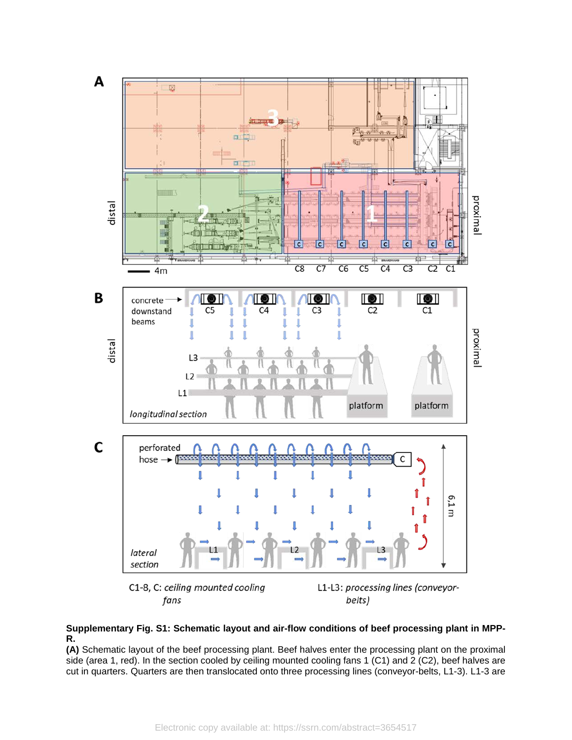

## **Supplementary Fig. S1: Schematic layout and air-flow conditions of beef processing plant in MPP-R.**

**(A)** Schematic layout of the beef processing plant. Beef halves enter the processing plant on the proximal side (area 1, red). In the section cooled by ceiling mounted cooling fans 1 (C1) and 2 (C2), beef halves are cut in quarters. Quarters are then translocated onto three processing lines (conveyor-belts, L1-3). L1-3 are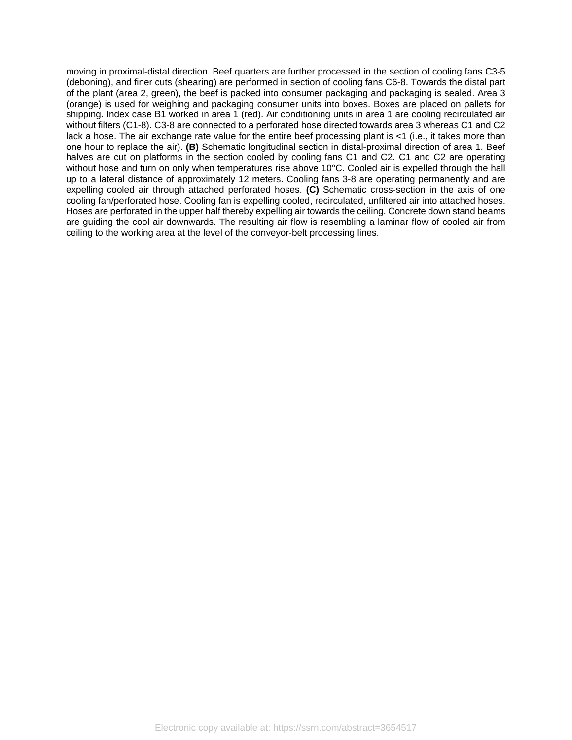moving in proximal-distal direction. Beef quarters are further processed in the section of cooling fans C3-5 (deboning), and finer cuts (shearing) are performed in section of cooling fans C6-8. Towards the distal part of the plant (area 2, green), the beef is packed into consumer packaging and packaging is sealed. Area 3 (orange) is used for weighing and packaging consumer units into boxes. Boxes are placed on pallets for shipping. Index case B1 worked in area 1 (red). Air conditioning units in area 1 are cooling recirculated air without filters (C1-8). C3-8 are connected to a perforated hose directed towards area 3 whereas C1 and C2 lack a hose. The air exchange rate value for the entire beef processing plant is <1 (i.e., it takes more than one hour to replace the air). **(B)** Schematic longitudinal section in distal-proximal direction of area 1. Beef halves are cut on platforms in the section cooled by cooling fans C1 and C2. C1 and C2 are operating without hose and turn on only when temperatures rise above 10°C. Cooled air is expelled through the hall up to a lateral distance of approximately 12 meters. Cooling fans 3-8 are operating permanently and are expelling cooled air through attached perforated hoses. **(C)** Schematic cross-section in the axis of one cooling fan/perforated hose. Cooling fan is expelling cooled, recirculated, unfiltered air into attached hoses. Hoses are perforated in the upper half thereby expelling air towards the ceiling. Concrete down stand beams are guiding the cool air downwards. The resulting air flow is resembling a laminar flow of cooled air from ceiling to the working area at the level of the conveyor-belt processing lines.